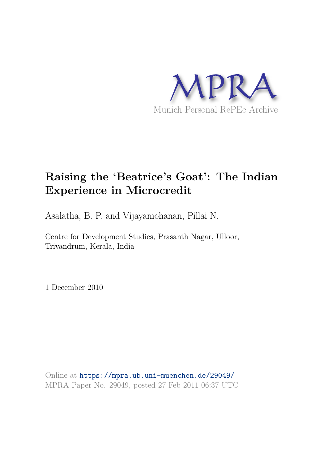

### **Raising the 'Beatrice's Goat': The Indian Experience in Microcredit**

Asalatha, B. P. and Vijayamohanan, Pillai N.

Centre for Development Studies, Prasanth Nagar, Ulloor, Trivandrum, Kerala, India

1 December 2010

Online at https://mpra.ub.uni-muenchen.de/29049/ MPRA Paper No. 29049, posted 27 Feb 2011 06:37 UTC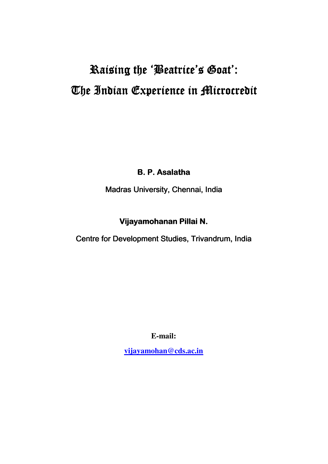# Raising the 'Beatrice's Goat': The Indian Experience in Microcredit

**B. P. Asalatha** 

Madras University, Chennai, India

### Vijayamohanan Pillai N.

Centre for Development Studies, Trivandrum, India

**E-mail:** 

**vijayamohan@cds.ac.in**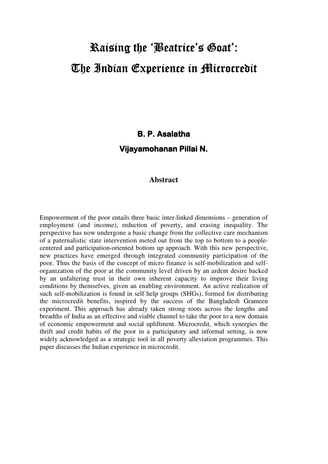# Raising the 'Beatrice's Goat': The Indian Experience in Microcredit

### **B. P. Asalatha** Vijayamohanan Pillai N.

#### **Abstract**

Empowerment of the poor entails three basic inter-linked dimensions – generation of employment (and income), reduction of poverty, and erasing inequality. The perspective has now undergone a basic change from the collective care mechanism of a paternalistic state intervention meted out from the top to bottom to a peoplecentered and participation-oriented bottom up approach. With this new perspective, new practices have emerged through integrated community participation of the poor. Thus the basis of the concept of micro finance is self-mobilization and selforganization of the poor at the community level driven by an ardent desire backed by an unfaltering trust in their own inherent capacity to improve their living conditions by themselves, given an enabling environment. An active realization of such self-mobilization is found in self help groups (SHGs), formed for distributing the microcredit benefits, inspired by the success of the Bangladesh Grameen experiment. This approach has already taken strong roots across the lengths and breadths of India as an effective and viable channel to take the poor to a new domain of economic empowerment and social upliftment. Microcredit, which synergies the thrift and credit habits of the poor in a participatory and informal setting, is now widely acknowledged as a strategic tool in all poverty alleviation programmes. This paper discusses the Indian experience in microcredit.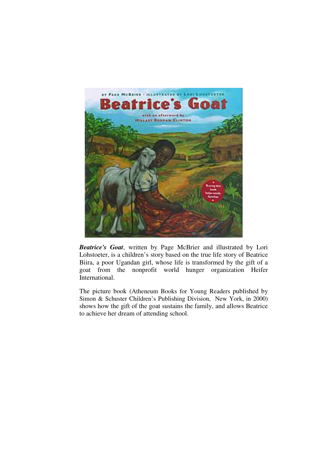

*Beatrice's Goat*, written by Page McBrier and illustrated by Lori Lohstoeter, is a children's story based on the true life story of Beatrice Biira, a poor Ugandan girl, whose life is transformed by the gift of a goat from the nonprofit world hunger organization Heifer International.

The picture book (Atheneum Books for Young Readers published by Simon & Schuster Children's Publishing Division, New York, in 2000) shows how the gift of the goat sustains the family, and allows Beatrice to achieve her dream of attending school.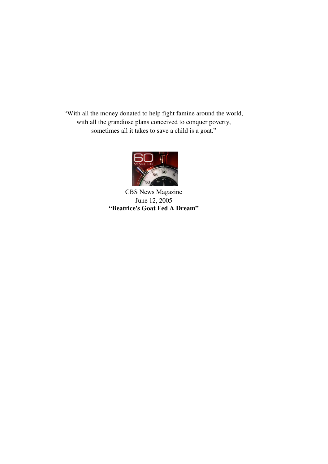"With all the money donated to help fight famine around the world, with all the grandiose plans conceived to conquer poverty, sometimes all it takes to save a child is a goat."



CBS News Magazine June 12, 2005 **"Beatrice's Goat Fed A Dream"**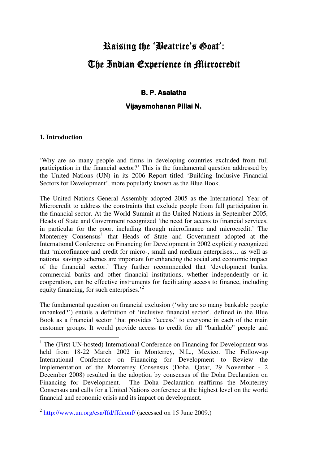## Raising the 'Beatrice's Goat': L The Indian Experience in Microcredit

#### **B. P. Asalatha**

#### Vijayamohanan Pillai N.

#### **1. Introduction**

 $\overline{a}$ 

'Why are so many people and firms in developing countries excluded from full participation in the financial sector?' This is the fundamental question addressed by the United Nations (UN) in its 2006 Report titled 'Building Inclusive Financial Sectors for Development', more popularly known as the Blue Book.

The United Nations General Assembly adopted 2005 as the International Year of Microcredit to address the constraints that exclude people from full participation in the financial sector. At the World Summit at the United Nations in September 2005, Heads of State and Government recognized 'the need for access to financial services, in particular for the poor, including through microfinance and microcredit.' The Monterrey Consensus $1$  that Heads of State and Government adopted at the International Conference on Financing for Development in 2002 explicitly recognized that 'microfinance and credit for micro-, small and medium enterprises… as well as national savings schemes are important for enhancing the social and economic impact of the financial sector.' They further recommended that 'development banks, commercial banks and other financial institutions, whether independently or in cooperation, can be effective instruments for facilitating access to finance, including equity financing, for such enterprises.<sup>2</sup>

The fundamental question on financial exclusion ('why are so many bankable people unbanked?') entails a definition of 'inclusive financial sector', defined in the Blue Book as a financial sector 'that provides "access" to everyone in each of the main customer groups. It would provide access to credit for all "bankable" people and

<sup>&</sup>lt;sup>1</sup> The (First UN-hosted) International Conference on Financing for Development was held from 18-22 March 2002 in Monterrey, N.L., Mexico. The Follow-up International Conference on Financing for Development to Review the Implementation of the Monterrey Consensus (Doha, Qatar, 29 November - 2 December 2008) resulted in the adoption by consensus of the Doha Declaration on Financing for Development. The Doha Declaration reaffirms the Monterrey Consensus and calls for a United Nations conference at the highest level on the world financial and economic crisis and its impact on development.

<sup>&</sup>lt;sup>2</sup> http://www.un.org/esa/ffd/ffdconf/ (accessed on 15 June 2009.)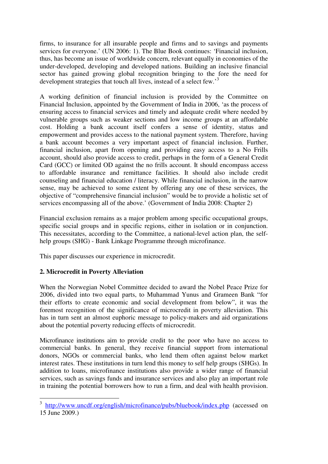firms, to insurance for all insurable people and firms and to savings and payments services for everyone.' (UN 2006: 1). The Blue Book continues: 'Financial inclusion, thus, has become an issue of worldwide concern, relevant equally in economies of the under-developed, developing and developed nations. Building an inclusive financial sector has gained growing global recognition bringing to the fore the need for development strategies that touch all lives, instead of a select few.'<sup>3</sup>

A working definition of financial inclusion is provided by the Committee on Financial Inclusion, appointed by the Government of India in 2006, 'as the process of ensuring access to financial services and timely and adequate credit where needed by vulnerable groups such as weaker sections and low income groups at an affordable cost. Holding a bank account itself confers a sense of identity, status and empowerment and provides access to the national payment system. Therefore, having a bank account becomes a very important aspect of financial inclusion. Further, financial inclusion, apart from opening and providing easy access to a No Frills account, should also provide access to credit, perhaps in the form of a General Credit Card (GCC) or limited OD against the no frills account. It should encompass access to affordable insurance and remittance facilities. It should also include credit counseling and financial education / literacy. While financial inclusion, in the narrow sense, may be achieved to some extent by offering any one of these services, the objective of "comprehensive financial inclusion" would be to provide a holistic set of services encompassing all of the above.' (Government of India 2008: Chapter 2)

Financial exclusion remains as a major problem among specific occupational groups, specific social groups and in specific regions, either in isolation or in conjunction. This necessitates, according to the Committee, a national-level action plan, the selfhelp groups (SHG) - Bank Linkage Programme through microfinance.

This paper discusses our experience in microcredit.

#### **2. Microcredit in Poverty Alleviation**

 $\overline{a}$ 

When the Norwegian Nobel Committee decided to award the Nobel Peace Prize for 2006, divided into two equal parts, to Muhammad Yunus and Grameen Bank "for their efforts to create economic and social development from below", it was the foremost recognition of the significance of microcredit in poverty alleviation. This has in turn sent an almost euphoric message to policy-makers and aid organizations about the potential poverty reducing effects of microcredit.

Microfinance institutions aim to provide credit to the poor who have no access to commercial banks. In general, they receive financial support from international donors, NGOs or commercial banks, who lend them often against below market interest rates. These institutions in turn lend this money to self help groups (SHGs). In addition to loans, microfinance institutions also provide a wider range of financial services, such as savings funds and insurance services and also play an important role in training the potential borrowers how to run a firm, and deal with health provision.

<sup>&</sup>lt;sup>3</sup> http://www.uncdf.org/english/microfinance/pubs/bluebook/index.php (accessed on 15 June 2009.)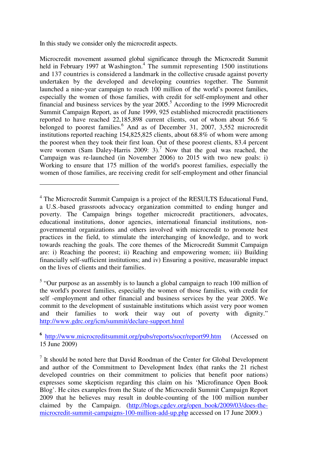In this study we consider only the microcredit aspects.

 $\overline{a}$ 

Microcredit movement assumed global significance through the Microcredit Summit held in February 1997 at Washington.<sup>4</sup> The summit representing 1500 institutions and 137 countries is considered a landmark in the collective crusade against poverty undertaken by the developed and developing countries together. The Summit launched a nine-year campaign to reach 100 million of the world's poorest families, especially the women of those families, with credit for self-employment and other financial and business services by the year  $2005$ .<sup>5</sup> According to the 1999 Microcredit Summit Campaign Report, as of June 1999, 925 established microcredit practitioners reported to have reached 22,185,898 current clients, out of whom about 56.6 % belonged to poorest families.<sup>6</sup> And as of December 31, 2007, 3,552 microcredit institutions reported reaching 154,825,825 clients, about 68.8% of whom were among the poorest when they took their first loan. Out of these poorest clients, 83.4 percent were women (Sam Daley-Harris 2009: 3).<sup>7</sup> Now that the goal was reached, the Campaign was re-launched (in November 2006) to 2015 with two new goals: i) Working to ensure that 175 million of the world's poorest families, especially the women of those families, are receiving credit for self-employment and other financial

<sup>&</sup>lt;sup>4</sup> The Microcredit Summit Campaign is a project of the RESULTS Educational Fund, a U.S.-based grassroots advocacy organization committed to ending hunger and poverty. The Campaign brings together microcredit practitioners, advocates, educational institutions, donor agencies, international financial institutions, nongovernmental organizations and others involved with microcredit to promote best practices in the field, to stimulate the interchanging of knowledge, and to work towards reaching the goals. The core themes of the Microcredit Summit Campaign are: i) Reaching the poorest; ii) Reaching and empowering women; iii) Building financially self-sufficient institutions; and iv) Ensuring a positive, measurable impact on the lives of clients and their families.

<sup>&</sup>lt;sup>5</sup> "Our purpose as an assembly is to launch a global campaign to reach 100 million of the world's poorest families, especially the women of those families, with credit for self -employment and other financial and business services by the year 2005. We commit to the development of sustainable institutions which assist very poor women and their families to work their way out of poverty with dignity." http://www.gdrc.org/icm/summit/declare-support.html

<sup>&</sup>lt;sup>6</sup> http://www.microcreditsummit.org/pubs/reports/socr/report99.htm (Accessed on 15 June 2009)

 $<sup>7</sup>$  It should be noted here that David Roodman of the Center for Global Development</sup> and author of the Commitment to Development Index (that ranks the 21 richest developed countries on their commitment to policies that benefit poor nations) expresses some skepticism regarding this claim on his 'Microfinance Open Book Blog'. He cites examples from the State of the Microcredit Summit Campaign Report 2009 that he believes may result in double-counting of the 100 million number claimed by the Campaign. (http://blogs.cgdev.org/open\_book/2009/03/does-themicrocredit-summit-campaigns-100-million-add-up.php accessed on 17 June 2009.)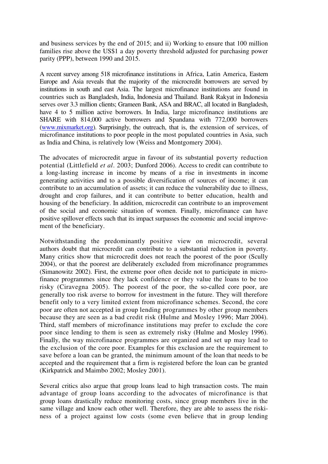and business services by the end of 2015; and ii) Working to ensure that 100 million families rise above the US\$1 a day poverty threshold adjusted for purchasing power parity (PPP), between 1990 and 2015.

A recent survey among 518 microfinance institutions in Africa, Latin America, Eastern Europe and Asia reveals that the majority of the microcredit borrowers are served by institutions in south and east Asia. The largest microfinance institutions are found in countries such as Bangladesh, India, Indonesia and Thailand. Bank Rakyat in Indonesia serves over 3.3 million clients; Grameen Bank, ASA and BRAC, all located in Bangladesh, have 4 to 5 million active borrowers. In India, large microfinance institutions are SHARE with 814,000 active borrowers and Spandana with 772,000 borrowers (www.mixmarket.org). Surprisingly, the outreach, that is, the extension of services, of microfinance institutions to poor people in the most populated countries in Asia, such as India and China, is relatively low (Weiss and Montgomery 2004).

The advocates of microcredit argue in favour of its substantial poverty reduction potential (Littlefield *et al*. 2003; Dunford 2006). Access to credit can contribute to a long-lasting increase in income by means of a rise in investments in income generating activities and to a possible diversification of sources of income; it can contribute to an accumulation of assets; it can reduce the vulnerability due to illness, drought and crop failures, and it can contribute to better education, health and housing of the beneficiary. In addition, microcredit can contribute to an improvement of the social and economic situation of women. Finally, microfinance can have positive spillover effects such that its impact surpasses the economic and social improvement of the beneficiary.

Notwithstanding the predominantly positive view on microcredit, several authors doubt that microcredit can contribute to a substantial reduction in poverty. Many critics show that microcredit does not reach the poorest of the poor (Scully 2004), or that the poorest are deliberately excluded from microfinance programmes (Simanowitz 2002). First, the extreme poor often decide not to participate in microfinance programmes since they lack confidence or they value the loans to be too risky (Ciravegna 2005). The poorest of the poor, the so-called core poor, are generally too risk averse to borrow for investment in the future. They will therefore benefit only to a very limited extent from microfinance schemes. Second, the core poor are often not accepted in group lending programmes by other group members because they are seen as a bad credit risk (Hulme and Mosley 1996; Marr 2004). Third, staff members of microfinance institutions may prefer to exclude the core poor since lending to them is seen as extremely risky (Hulme and Mosley 1996). Finally, the way microfinance programmes are organized and set up may lead to the exclusion of the core poor. Examples for this exclusion are the requirement to save before a loan can be granted, the minimum amount of the loan that needs to be accepted and the requirement that a firm is registered before the loan can be granted (Kirkpatrick and Maimbo 2002; Mosley 2001).

Several critics also argue that group loans lead to high transaction costs. The main advantage of group loans according to the advocates of microfinance is that group loans drastically reduce monitoring costs, since group members live in the same village and know each other well. Therefore, they are able to assess the riskiness of a project against low costs (some even believe that in group lending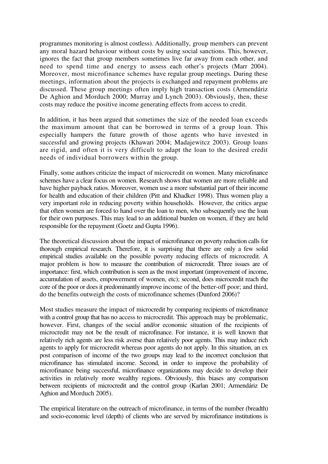programmes monitoring is almost costless). Additionally, group members can prevent any moral hazard behaviour without costs by using social sanctions. This, however, ignores the fact that group members sometimes live far away from each other, and need to spend time and energy to assess each other's projects (Marr 2004). Moreover, most microfinance schemes have regular group meetings. During these meetings, information about the projects is exchanged and repayment problems are discussed. These group meetings often imply high transaction costs (Armendáriz De Aghion and Morduch 2000; Murray and Lynch 2003). Obviously, then, these costs may reduce the positive income generating effects from access to credit.

In addition, it has been argued that sometimes the size of the needed loan exceeds the maximum amount that can be borrowed in terms of a group loan. This especially hampers the future growth of those agents who have invested in successful and growing projects (Khawari 2004; Madajewitcz 2003). Group loans are rigid, and often it is very difficult to adapt the loan to the desired credit needs of individual borrowers within the group.

Finally, some authors criticize the impact of microcredit on women. Many microfinance schemes have a clear focus on women. Research shows that women are more reliable and have higher payback ratios. Moreover, women use a more substantial part of their income for health and education of their children (Pitt and Khadker 1998). Thus women play a very important role in reducing poverty within households. However, the critics argue that often women are forced to hand over the loan to men, who subsequently use the loan for their own purposes. This may lead to an additional burden on women, if they are held responsible for the repayment (Goetz and Gupta 1996).

The theoretical discussion about the impact of microfinance on poverty reduction calls for thorough empirical research. Therefore, it is surprising that there are only a few solid empirical studies available on the possible poverty reducing effects of microcredit. A major problem is how to measure the contribution of microcredit. Three issues are of importance: first, which contribution is seen as the most important (improvement of income, accumulation of assets, empowerment of women, etc); second, does microcredit reach the core of the poor or does it predominantly improve income of the better-off poor; and third, do the benefits outweigh the costs of microfinance schemes (Dunford 2006)?

Most studies measure the impact of microcredit by comparing recipients of microfinance with a control group that has no access to microcredit. This approach may be problematic, however. First, changes of the social and/or economic situation of the recipients of microcredit may not be the result of microfinance. For instance, it is well known that relatively rich agents are less risk averse than relatively poor agents. This may induce rich agents to apply for microcredit whereas poor agents do not apply. In this situation, an ex post comparison of income of the two groups may lead to the incorrect conclusion that microfinance has stimulated income. Second, in order to improve the probability of microfinance being successful, microfinance organizations may decide to develop their activities in relatively more wealthy regions. Obviously, this biases any comparison between recipients of microcredit and the control group (Karlan 2001; Armendáriz De Aghion and Morduch 2005).

The empirical literature on the outreach of microfinance, in terms of the number (breadth) and socio-economic level (depth) of clients who are served by microfinance institutions is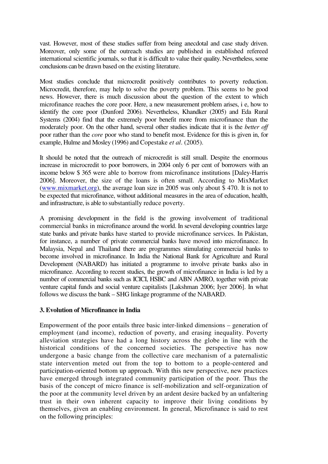vast. However, most of these studies suffer from being anecdotal and case study driven. Moreover, only some of the outreach studies are published in established refereed international scientific journals, so that it is difficult to value their quality. Nevertheless, some conclusions can be drawn based on the existing literature.

Most studies conclude that microcredit positively contributes to poverty reduction. Microcredit, therefore, may help to solve the poverty problem. This seems to be good news. However, there is much discussion about the question of the extent to which microfinance reaches the core poor. Here, a new measurement problem arises, i e, how to identify the core poor (Dunford 2006). Nevertheless, Khandker (2005) and Eda Rural Systems (2004) find that the extremely poor benefit more from microfinance than the moderately poor. On the other hand, several other studies indicate that it is the *better off* poor rather than the *core* poor who stand to benefit most. Evidence for this is given in, for example, Hulme and Mosley (1996) and Copestake *et al*. (2005).

It should be noted that the outreach of microcredit is still small. Despite the enormous increase in microcredit to poor borrowers, in 2004 only 6 per cent of borrowers with an income below \$ 365 were able to borrow from microfinance institutions [Daley-Harris 2006]. Moreover, the size of the loans is often small. According to MixMarket (www.mixmarket.org), the average loan size in 2005 was only about \$ 470. It is not to be expected that microfinance, without additional measures in the area of education, health, and infrastructure, is able to substantially reduce poverty.

A promising development in the field is the growing involvement of traditional commercial banks in microfinance around the world. In several developing countries large state banks and private banks have started to provide microfinance services. In Pakistan, for instance, a number of private commercial banks have moved into microfinance. In Malaysia, Nepal and Thailand there are programmes stimulating commercial banks to become involved in microfinance. In India the National Bank for Agriculture and Rural Development (NABARD) has initiated a programme to involve private banks also in microfinance. According to recent studies, the growth of microfinance in India is led by a number of commercial banks such as ICICI, HSBC and ABN AMRO, together with private venture capital funds and social venture capitalists [Lakshman 2006; Iyer 2006]. In what follows we discuss the bank – SHG linkage programme of the NABARD.

#### **3. Evolution of Microfinance in India**

Empowerment of the poor entails three basic inter-linked dimensions – generation of employment (and income), reduction of poverty, and erasing inequality. Poverty alleviation strategies have had a long history across the globe in line with the historical conditions of the concerned societies. The perspective has now undergone a basic change from the collective care mechanism of a paternalistic state intervention meted out from the top to bottom to a people-centered and participation-oriented bottom up approach. With this new perspective, new practices have emerged through integrated community participation of the poor. Thus the basis of the concept of micro finance is self-mobilization and self-organization of the poor at the community level driven by an ardent desire backed by an unfaltering trust in their own inherent capacity to improve their living conditions by themselves, given an enabling environment. In general, Microfinance is said to rest on the following principles: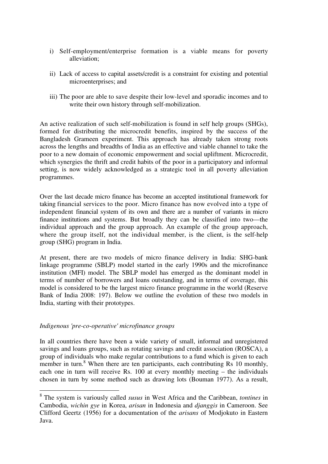- i) Self-employment/enterprise formation is a viable means for poverty alleviation;
- ii) Lack of access to capital assets/credit is a constraint for existing and potential microenterprises; and
- iii) The poor are able to save despite their low-level and sporadic incomes and to write their own history through self-mobilization.

An active realization of such self-mobilization is found in self help groups (SHGs), formed for distributing the microcredit benefits, inspired by the success of the Bangladesh Grameen experiment. This approach has already taken strong roots across the lengths and breadths of India as an effective and viable channel to take the poor to a new domain of economic empowerment and social upliftment. Microcredit, which synergies the thrift and credit habits of the poor in a participatory and informal setting, is now widely acknowledged as a strategic tool in all poverty alleviation programmes.

Over the last decade micro finance has become an accepted institutional framework for taking financial services to the poor. Micro finance has now evolved into a type of independent financial system of its own and there are a number of variants in micro finance institutions and systems. But broadly they can be classified into two—the individual approach and the group approach. An example of the group approach, where the group itself, not the individual member, is the client, is the self-help group (SHG) program in India.

At present, there are two models of micro finance delivery in India: SHG-bank linkage programme (SBLP) model started in the early 1990s and the microfinance institution (MFI) model. The SBLP model has emerged as the dominant model in terms of number of borrowers and loans outstanding, and in terms of coverage, this model is considered to be the largest micro finance programme in the world (Reserve Bank of India 2008: 197). Below we outline the evolution of these two models in India, starting with their prototypes.

#### *Indigenous 'pre-co-operative' microfinance groups*

 $\overline{a}$ 

In all countries there have been a wide variety of small, informal and unregistered savings and loans groups, such as rotating savings and credit association (ROSCA), a group of individuals who make regular contributions to a fund which is given to each member in turn.<sup>8</sup> When there are ten participants, each contributing Rs 10 monthly, each one in turn will receive Rs. 100 at every monthly meeting – the individuals chosen in turn by some method such as drawing lots (Bouman 1977). As a result,

<sup>8</sup> The system is variously called *susus* in West Africa and the Caribbean, *tontines* in Cambodia, *wichin gye* in Korea, *arisan* in Indonesia and *djanggis* in Cameroon. See Clifford Geertz (1956) for a documentation of the *arisans* of Modjokuto in Eastern Java.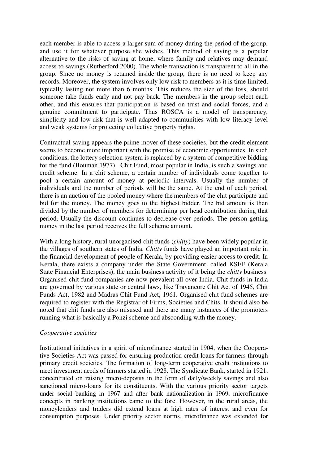each member is able to access a larger sum of money during the period of the group, and use it for whatever purpose she wishes. This method of saving is a popular alternative to the risks of saving at home, where family and relatives may demand access to savings (Rutherford 2000). The whole transaction is transparent to all in the group. Since no money is retained inside the group, there is no need to keep any records. Moreover, the system involves only low risk to members as it is time limited, typically lasting not more than 6 months. This reduces the size of the loss, should someone take funds early and not pay back. The members in the group select each other, and this ensures that participation is based on trust and social forces, and a genuine commitment to participate. Thus ROSCA is a model of transparency, simplicity and low risk that is well adapted to communities with low literacy level and weak systems for protecting collective property rights.

Contractual saving appears the prime mover of these societies, but the credit element seems to become more important with the promise of economic opportunities. In such conditions, the lottery selection system is replaced by a system of competitive bidding for the fund (Bouman 1977). Chit Fund, most popular in India, is such a savings and credit scheme. In a chit scheme, a certain number of individuals come together to pool a certain amount of money at periodic intervals. Usually the number of individuals and the number of periods will be the same. At the end of each period, there is an auction of the pooled money where the members of the chit participate and bid for the money. The money goes to the highest bidder. The bid amount is then divided by the number of members for determining per head contribution during that period. Usually the discount continues to decrease over periods. The person getting money in the last period receives the full scheme amount.

With a long history, rural unorganised chit funds (*chitty*) have been widely popular in the villages of southern states of India. *Chitty* funds have played an important role in the financial development of people of Kerala, by providing easier access to credit. In Kerala, there exists a company under the State Government, called KSFE (Kerala State Financial Enterprises), the main business activity of it being the *chitty* business. Organised chit fund companies are now prevalent all over India. Chit funds in India are governed by various state or central laws, like Travancore Chit Act of 1945, Chit Funds Act, 1982 and Madras Chit Fund Act, 1961. Organised chit fund schemes are required to register with the Registrar of Firms, Societies and Chits. It should also be noted that chit funds are also misused and there are many instances of the promoters running what is basically a Ponzi scheme and absconding with the money.

#### *Cooperative societies*

Institutional initiatives in a spirit of microfinance started in 1904, when the Cooperative Societies Act was passed for ensuring production credit loans for farmers through primary credit societies. The formation of long-term cooperative credit institutions to meet investment needs of farmers started in 1928. The Syndicate Bank, started in 1921, concentrated on raising micro-deposits in the form of daily/weekly savings and also sanctioned micro-loans for its constituents. With the various priority sector targets under social banking in 1967 and after bank nationalization in 1969, microfinance concepts in banking institutions came to the fore. However, in the rural areas, the moneylenders and traders did extend loans at high rates of interest and even for consumption purposes. Under priority sector norms, microfinance was extended for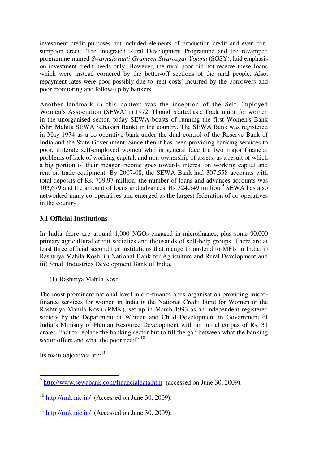investment credit purposes but included elements of production credit and even consumption credit. The Integrated Rural Development Programme and the revamped programme named *Swarnajayanti Grameen Swarozgar Yojana* (SGSY), laid emphasis on investment credit needs only. However, the rural poor did not receive these loans which were instead cornered by the better-off sections of the rural people. Also, repayment rates were poor possibly due to 'rent costs' incurred by the borrowers and poor monitoring and follow-up by bankers.

Another landmark in this context was the inception of the Self-Employed Women's Association (SEWA) in 1972. Though started as a Trade union for women in the unorganised sector, today SEWA boasts of running the first Women's Bank (Shri Mahila SEWA Sahakari Bank) in the country. The SEWA Bank was registered in May 1974 as a co-operative bank under the dual control of the Reserve Bank of India and the State Government. Since then it has been providing banking services to poor, illiterate self-employed women who in general face the two major financial problems of lack of working capital, and non-ownership of assets, as a result of which a big portion of their meager income goes towards interest on working capital and rent on trade equipment. By 2007-08, the SEWA Bank had 307,558 accounts with total deposits of Rs. 739.97 million; the number of loans and advances accounts was 103,679 and the amount of loans and advances, Rs 324.549 million.<sup>9</sup> SEWA has also networked many co-operatives and emerged as the largest federation of co-operatives in the country.

#### **3.1 Official Institutions**

In India there are around 1,000 NGOs engaged in microfinance, plus some 90,000 primary agricultural credit societies and thousands of self-help groups. There are at least three official second tier institutions that mange to on-lend to MFIs in India: i) Rashtriya Mahila Kosh, ii) National Bank for Agriculture and Rural Development and iii) Small Industries Development Bank of India.

(1) Rashtriya Mahila Kosh

The most prominent national level micro-finance apex organisation providing microfinance services for women in India is the National Credit Fund for Women or the Rashtriya Mahila Kosh (RMK), set up in March 1993 as an independent registered society by the Department of Women and Child Development in Government of India's Ministry of Human Resource Development with an initial corpus of Rs. 31 crores, "not to replace the banking sector but to fill the gap between what the banking sector offers and what the poor need".<sup>10</sup>

Its main objectives are: $11$ 

<sup>&</sup>lt;sup>9</sup> http://www.sewabank.com/financialdata.htm (accessed on June 30, 2009).

 $10$  http://rmk.nic.in/ (Accessed on June 30, 2009).

 $11$  http://rmk.nic.in/ (Accessed on June 30, 2009).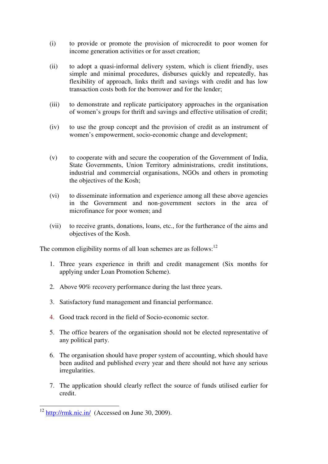- (i) to provide or promote the provision of microcredit to poor women for income generation activities or for asset creation;
- (ii) to adopt a quasi-informal delivery system, which is client friendly, uses simple and minimal procedures, disburses quickly and repeatedly, has flexibility of approach, links thrift and savings with credit and has low transaction costs both for the borrower and for the lender;
- (iii) to demonstrate and replicate participatory approaches in the organisation of women's groups for thrift and savings and effective utilisation of credit;
- (iv) to use the group concept and the provision of credit as an instrument of women's empowerment, socio-economic change and development;
- (v) to cooperate with and secure the cooperation of the Government of India, State Governments, Union Territory administrations, credit institutions, industrial and commercial organisations, NGOs and others in promoting the objectives of the Kosh;
- (vi) to disseminate information and experience among all these above agencies in the Government and non-government sectors in the area of microfinance for poor women; and
- (vii) to receive grants, donations, loans, etc., for the furtherance of the aims and objectives of the Kosh.

The common eligibility norms of all loan schemes are as follows: $12$ 

- 1. Three years experience in thrift and credit management (Six months for applying under Loan Promotion Scheme).
- 2. Above 90% recovery performance during the last three years.
- 3. Satisfactory fund management and financial performance.
- 4. Good track record in the field of Socio-economic sector.
- 5. The office bearers of the organisation should not be elected representative of any political party.
- 6. The organisation should have proper system of accounting, which should have been audited and published every year and there should not have any serious irregularities.
- 7. The application should clearly reflect the source of funds utilised earlier for credit.

 $\overline{a}$ 

 $12 \frac{\text{http://rmk.nic.in/}}{\text{http://rmk.nic.in/}}$  (Accessed on June 30, 2009).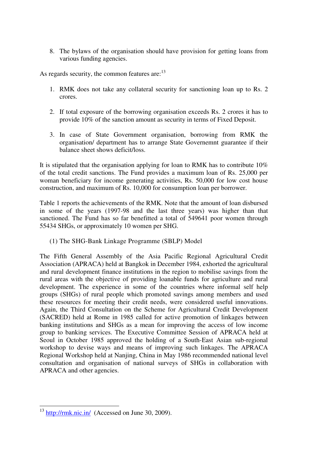8. The bylaws of the organisation should have provision for getting loans from various funding agencies.

As regards security, the common features are: $^{13}$ 

- 1. RMK does not take any collateral security for sanctioning loan up to Rs. 2 crores.
- 2. If total exposure of the borrowing organisation exceeds Rs. 2 crores it has to provide 10% of the sanction amount as security in terms of Fixed Deposit.
- 3. In case of State Government organisation, borrowing from RMK the organisation/ department has to arrange State Governemnt guarantee if their balance sheet shows deficit/loss.

It is stipulated that the organisation applying for loan to RMK has to contribute 10% of the total credit sanctions. The Fund provides a maximum loan of Rs. 25,000 per woman beneficiary for income generating activities, Rs. 50,000 for low cost house construction, and maximum of Rs. 10,000 for consumption loan per borrower.

Table 1 reports the achievements of the RMK. Note that the amount of loan disbursed in some of the years (1997-98 and the last three years) was higher than that sanctioned. The Fund has so far benefitted a total of 549641 poor women through 55434 SHGs, or approximately 10 women per SHG.

(1) The SHG-Bank Linkage Programme (SBLP) Model

The Fifth General Assembly of the Asia Pacific Regional Agricultural Credit Association (APRACA) held at Bangkok in December 1984, exhorted the agricultural and rural development finance institutions in the region to mobilise savings from the rural areas with the objective of providing loanable funds for agriculture and rural development. The experience in some of the countries where informal self help groups (SHGs) of rural people which promoted savings among members and used these resources for meeting their credit needs, were considered useful innovations. Again, the Third Consultation on the Scheme for Agricultural Credit Development (SACRED) held at Rome in 1985 called for active promotion of linkages between banking institutions and SHGs as a mean for improving the access of low income group to banking services. The Executive Committee Session of APRACA held at Seoul in October 1985 approved the holding of a South-East Asian sub-regional workshop to devise ways and means of improving such linkages. The APRACA Regional Workshop held at Nanjing, China in May 1986 recommended national level consultation and organisation of national surveys of SHGs in collaboration with APRACA and other agencies.

 $\overline{a}$ 

 $13 \frac{\text{http://rmk.nic.in/}}{\text{http://rmk.nic.in/}}$  (Accessed on June 30, 2009).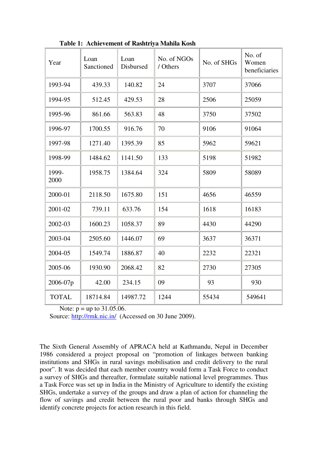| Year          | Loan<br>Sanctioned | Loan<br>Disbursed | No. of NGOs<br>/ Others | No. of SHGs | No. of<br>Women<br>beneficiaries |
|---------------|--------------------|-------------------|-------------------------|-------------|----------------------------------|
| 1993-94       | 439.33             | 140.82            | 24                      | 3707        | 37066                            |
| 1994-95       | 512.45             | 429.53            | 28                      | 2506        | 25059                            |
| 1995-96       | 861.66             | 563.83            | 48                      | 3750        | 37502                            |
| 1996-97       | 1700.55            | 916.76            | 70                      | 9106        | 91064                            |
| 1997-98       | 1271.40            | 1395.39           | 85                      | 5962        | 59621                            |
| 1998-99       | 1484.62            | 1141.50           | 133                     | 5198        | 51982                            |
| 1999-<br>2000 | 1958.75            | 1384.64           | 324                     | 5809        | 58089                            |
| 2000-01       | 2118.50            | 1675.80           | 151                     | 4656        | 46559                            |
| 2001-02       | 739.11             | 633.76            | 154                     | 1618        | 16183                            |
| 2002-03       | 1600.23            | 1058.37           | 89                      | 4430        | 44290                            |
| 2003-04       | 2505.60            | 1446.07           | 69                      | 3637        | 36371                            |
| 2004-05       | 1549.74            | 1886.87           | 40                      | 2232        | 22321                            |
| 2005-06       | 1930.90            | 2068.42           | 82                      | 2730        | 27305                            |
| 2006-07p      | 42.00              | 234.15            | 09                      | 93          | 930                              |
| <b>TOTAL</b>  | 18714.84           | 14987.72          | 1244                    | 55434       | 549641                           |

**Table 1: Achievement of Rashtriya Mahila Kosh** 

Note:  $p = up to 31.05.06$ .

Source: http://rmk.nic.in/ (Accessed on 30 June 2009).

The Sixth General Assembly of APRACA held at Kathmandu, Nepal in December 1986 considered a project proposal on "promotion of linkages between banking institutions and SHGs in rural savings mobilisation and credit delivery to the rural poor". It was decided that each member country would form a Task Force to conduct a survey of SHGs and thereafter, formulate suitable national level programmes. Thus a Task Force was set up in India in the Ministry of Agriculture to identify the existing SHGs, undertake a survey of the groups and draw a plan of action for channeling the flow of savings and credit between the rural poor and banks through SHGs and identify concrete projects for action research in this field.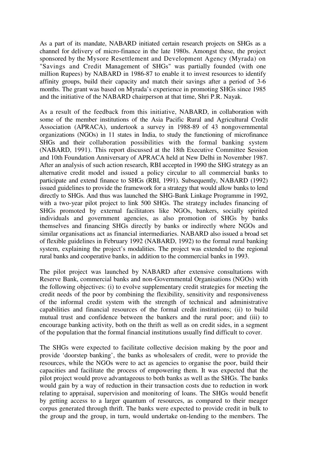As a part of its mandate, NABARD initiated certain research projects on SHGs as a channel for delivery of micro-finance in the late 1980s. Amongst these, the project sponsored by the Mysore Resettlement and Development Agency (Myrada) on "Savings and Credit Management of SHGs" was partially founded (with one million Rupees) by NABARD in 1986-87 to enable it to invest resources to identify affinity groups, build their capacity and match their savings after a period of 3-6 months. The grant was based on Myrada's experience in promoting SHGs since 1985 and the initiative of the NABARD chairperson at that time, Shri P.R. Nayak.

As a result of the feedback from this initiative, NABARD, in collaboration with some of the member institutions of the Asia Pacific Rural and Agricultural Credit Association (APRACA), undertook a survey in 1988-89 of 43 nongovernmental organizations (NGOs) in 11 states in India, to study the functioning of microfinance SHGs and their collaboration possibilities with the formal banking system (NABARD, 1991). This report discussed at the 18th Executive Committee Session and 10th Foundation Anniversary of APRACA held at New Delhi in November 1987. After an analysis of such action research, RBI accepted in 1990 the SHG strategy as an alternative credit model and issued a policy circular to all commercial banks to participate and extend finance to SHGs (RBI, 1991). Subsequently, NABARD (1992) issued guidelines to provide the framework for a strategy that would allow banks to lend directly to SHGs. And thus was launched the SHG-Bank Linkage Programme in 1992, with a two-year pilot project to link 500 SHGs. The strategy includes financing of SHGs promoted by external facilitators like NGOs, bankers, socially spirited individuals and government agencies, as also promotion of SHGs by banks themselves and financing SHGs directly by banks or indirectly where NGOs and similar organisations act as financial intermediaries. NABARD also issued a broad set of flexible guidelines in February 1992 (NABARD, 1992) to the formal rural banking system, explaining the project's modalities. The project was extended to the regional rural banks and cooperative banks, in addition to the commercial banks in 1993.

The pilot project was launched by NABARD after extensive consultations with Reserve Bank, commercial banks and non-Governmental Organisations (NGOs) with the following objectives: (i) to evolve supplementary credit strategies for meeting the credit needs of the poor by combining the flexibility, sensitivity and responsiveness of the informal credit system with the strength of technical and administrative capabilities and financial resources of the formal credit institutions; (ii) to build mutual trust and confidence between the bankers and the rural poor; and (iii) to encourage banking activity, both on the thrift as well as on credit sides, in a segment of the population that the formal financial institutions usually find difficult to cover.

The SHGs were expected to facilitate collective decision making by the poor and provide 'doorstep banking', the banks as wholesalers of credit, were to provide the resources, while the NGOs were to act as agencies to organise the poor, build their capacities and facilitate the process of empowering them. It was expected that the pilot project would prove advantageous to both banks as well as the SHGs. The banks would gain by a way of reduction in their transaction costs due to reduction in work relating to appraisal, supervision and monitoring of loans. The SHGs would benefit by getting access to a larger quantum of resources, as compared to their meager corpus generated through thrift. The banks were expected to provide credit in bulk to the group and the group, in turn, would undertake on-lending to the members. The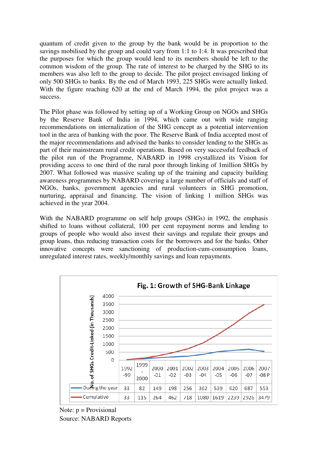quantum of credit given to the group by the bank would be in proportion to the savings mobilised by the group and could vary from 1:1 to 1:4. It was prescribed that the purposes for which the group would lend to its members should be left to the common wisdom of the group. The rate of interest to be charged by the SHG to its members was also left to the group to decide. The pilot project envisaged linking of only 500 SHGs to banks. By the end of March 1993, 225 SHGs were actually linked. With the figure reaching 620 at the end of March 1994, the pilot project was a success.

The Pilot phase was followed by setting up of a Working Group on NGOs and SHGs by the Reserve Bank of India in 1994, which came out with wide ranging recommendations on internalization of the SHG concept as a potential intervention tool in the area of banking with the poor. The Reserve Bank of India accepted most of the major recommendations and advised the banks to consider lending to the SHGs as part of their mainstream rural credit operations. Based on very successful feedback of the pilot run of the Programme, NABARD in 1998 crystallized its Vision for providing access to one third of the rural poor through linking of 1million SHGs by 2007. What followed was massive scaling up of the training and capacity building awareness programmes by NABARD covering a large number of officials and staff of NGOs, banks, government agencies and rural volunteers in SHG promotion, nurturing, appraisal and financing. The vision of linking 1 million SHGs was achieved in the year 2004.

With the NABARD programme on self help groups (SHGs) in 1992, the emphasis shifted to loans without collateral, 100 per cent repayment norms and lending to groups of people who would also invest their savings and regulate their groups and group loans, thus reducing transaction costs for the borrowers and for the banks. Other innovative concepts were sanctioning of production-cum-consumption loans, unregulated interest rates, weekly/monthly savings and loan repayments.



Note:  $p =$  Provisional Source: NABARD Reports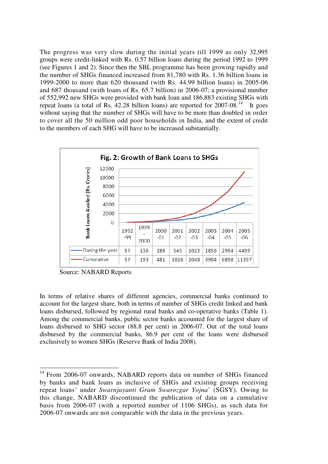The progress was very slow during the initial years till 1999 as only 32,995 groups were credit-linked with Rs. 0.57 billion loans during the period 1992 to 1999 (see Figures 1 and 2). Since then the SBL programme has been growing rapidly and the number of SHGs financed increased from 81,780 with Rs. 1.36 billion loans in 1999-2000 to more than 620 thousand (with Rs. 44.99 billion loans) in 2005-06 and 687 thousand (with loans of Rs. 65.7 billion) in 2006-07; a provisional number of 552,992 new SHGs were provided with bank loan and 186,883 existing SHGs with repeat loans (a total of Rs.  $42.28$  billion loans) are reported for  $2007-08$ .<sup>14</sup> It goes without saying that the number of SHGs will have to be more than doubled in order to cover all the 50 million odd poor households in India, and the extent of credit to the members of each SHG will have to be increased substantially.



Source: NABARD Reports

 $\overline{a}$ 

In terms of relative shares of different agencies, commercial banks continued to account for the largest share, both in terms of number of SHGs credit linked and bank loans disbursed, followed by regional rural banks and co-operative banks (Table 1). Among the commercial banks, public sector banks accounted for the largest share of loans disbursed to SHG sector (88.8 per cent) in 2006-07. Out of the total loans disbursed by the commercial banks, 86.9 per cent of the loans were disbursed exclusively to women SHGs (Reserve Bank of India 2008).

<sup>&</sup>lt;sup>14</sup> From 2006-07 onwards, NABARD reports data on number of SHGs financed by banks and bank loans as inclusive of SHGs and existing groups receiving repeat loans' under *Swarnjayanti Gram Swarozgar Yojna*' (SGSY). Owing to this change, NABARD discontinued the publication of data on a cumulative basis from 2006-07 (with a reported number of 1106 SHGs), as such data for 2006-07 onwards are not comparable with the data in the previous years.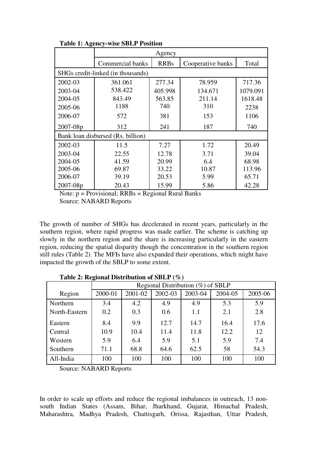|                                   | Agency           |             |                   |          |  |  |  |
|-----------------------------------|------------------|-------------|-------------------|----------|--|--|--|
|                                   | Commercial banks | <b>RRBs</b> | Cooperative banks | Total    |  |  |  |
| SHGs credit-linked (in thousands) |                  |             |                   |          |  |  |  |
| 2002-03                           | 361.061          | 277.34      | 78.959            | 717.36   |  |  |  |
| 2003-04                           | 538.422          | 405.998     | 134.671           | 1079.091 |  |  |  |
| 2004-05                           | 843.49           | 563.85      | 211.14            | 1618.48  |  |  |  |
| 2005-06                           | 1188             | 740         | 310               | 2238     |  |  |  |
| 2006-07                           | 572              | 381         | 153               | 1106     |  |  |  |
| $2007 - 08p$                      | 312              | 241         | 187               | 740      |  |  |  |
| Bank loan disbursed (Rs. billion) |                  |             |                   |          |  |  |  |
| 2002-03                           | 11.5             | 7.27        | 1.72              | 20.49    |  |  |  |
| 2003-04                           | 22.55            | 12.78       | 3.71              | 39.04    |  |  |  |
| 2004-05                           | 41.59            | 20.99       | 6.4               | 68.98    |  |  |  |
| 2005-06                           | 69.87            | 33.22       | 10.87             | 113.96   |  |  |  |
| 2006-07                           | 39.19            | 20.53       | 5.99              | 65.71    |  |  |  |
| 2007-08p                          | 20.43            | 15.99       | 5.86              | 42.28    |  |  |  |

**Table 1: Agency-wise SBLP Position** 

Note:  $p =$  Provisional;  $RRBs =$  Regional Rural Banks

Source: NABARD Reports

The growth of number of SHGs has decelerated in recent years, particularly in the southern region, where rapid progress was made earlier. The scheme is catching up slowly in the northern region and the share is increasing particularly in the eastern region, reducing the spatial disparity though the concentration in the southern region still rules (Table 2). The MFIs have also expanded their operations, which might have impacted the growth of the SBLP to some extent.

|               | Regional Distribution $(\%)$ of SBLP |         |         |         |         |         |  |  |  |
|---------------|--------------------------------------|---------|---------|---------|---------|---------|--|--|--|
| Region        | 2000-01                              | 2001-02 | 2002-03 | 2003-04 | 2004-05 | 2005-06 |  |  |  |
| Northern      | 3.4                                  | 4.2     | 4.9     | 4.9     | 5.3     | 5.9     |  |  |  |
| North-Eastern | 0.2                                  | 0.3     | 0.6     | 1.1     | 2.1     | 2.8     |  |  |  |
| Eastern       | 8.4                                  | 9.9     | 12.7    | 14.7    | 16.4    | 17.6    |  |  |  |
| Central       | 10.9                                 | 10.4    | 11.4    | 11.8    | 12.2    | 12      |  |  |  |
| Western       | 5.9                                  | 6.4     | 5.9     | 5.1     | 5.9     | 7.4     |  |  |  |
| Southern      | 71.1                                 | 68.8    | 64.6    | 62.5    | 58      | 54.3    |  |  |  |
| All-India     | 100                                  | 100     | 100     | 100     | 100     | 100     |  |  |  |

**Table 2: Regional Distribution of SBLP (%)** 

Source: NABARD Reports

In order to scale up efforts and reduce the regional imbalances in outreach, 13 nonsouth Indian States (Assam, Bihar, Jharkhand, Gujarat, Himachal Pradesh, Maharashtra, Madhya Pradesh, Chattisgarh, Orissa, Rajasthan, Uttar Pradesh,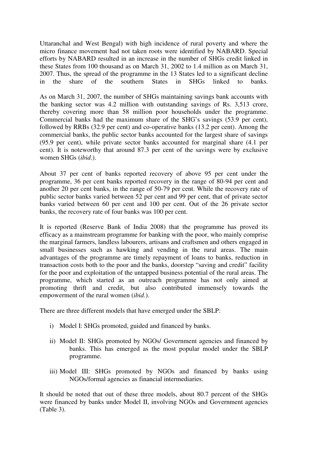Uttaranchal and West Bengal) with high incidence of rural poverty and where the micro finance movement had not taken roots were identified by NABARD. Special efforts by NABARD resulted in an increase in the number of SHGs credit linked in these States from 100 thousand as on March 31, 2002 to 1.4 million as on March 31, 2007. Thus, the spread of the programme in the 13 States led to a significant decline in the share of the southern States in SHGs linked to banks.

As on March 31, 2007, the number of SHGs maintaining savings bank accounts with the banking sector was 4.2 million with outstanding savings of Rs. 3,513 crore, thereby covering more than 58 million poor households under the programme. Commercial banks had the maximum share of the SHG's savings (53.9 per cent), followed by RRBs (32.9 per cent) and co-operative banks (13.2 per cent). Among the commercial banks, the public sector banks accounted for the largest share of savings (95.9 per cent), while private sector banks accounted for marginal share (4.1 per cent). It is noteworthy that around 87.3 per cent of the savings were by exclusive women SHGs (*ibid*.).

About 37 per cent of banks reported recovery of above 95 per cent under the programme, 36 per cent banks reported recovery in the range of 80-94 per cent and another 20 per cent banks, in the range of 50-79 per cent. While the recovery rate of public sector banks varied between 52 per cent and 99 per cent, that of private sector banks varied between 60 per cent and 100 per cent. Out of the 26 private sector banks, the recovery rate of four banks was 100 per cent.

It is reported (Reserve Bank of India 2008) that the programme has proved its efficacy as a mainstream programme for banking with the poor, who mainly comprise the marginal farmers, landless labourers, artisans and craftsmen and others engaged in small businesses such as hawking and vending in the rural areas. The main advantages of the programme are timely repayment of loans to banks, reduction in transaction costs both to the poor and the banks, doorstep "saving and credit" facility for the poor and exploitation of the untapped business potential of the rural areas. The programme, which started as an outreach programme has not only aimed at promoting thrift and credit, but also contributed immensely towards the empowerment of the rural women (*ibid*.).

There are three different models that have emerged under the SBLP:

- i) Model I: SHGs promoted, guided and financed by banks.
- ii) Model II: SHGs promoted by NGOs/ Government agencies and financed by banks. This has emerged as the most popular model under the SBLP programme.
- iii) Model III: SHGs promoted by NGOs and financed by banks using NGOs/formal agencies as financial intermediaries.

It should be noted that out of these three models, about 80.7 percent of the SHGs were financed by banks under Model II, involving NGOs and Government agencies (Table 3).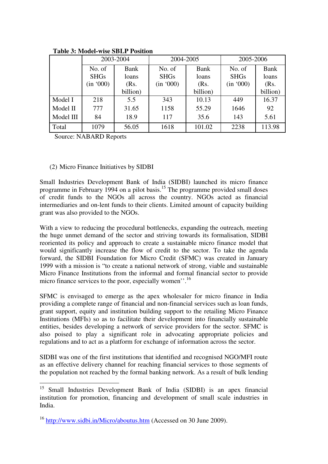|           | 2003-2004   |             | 2004-2005   |          | 2005-2006   |          |
|-----------|-------------|-------------|-------------|----------|-------------|----------|
|           | No. of      | <b>Bank</b> | No. of      | Bank     | No. of      | Bank     |
|           | <b>SHGs</b> | loans       | <b>SHGs</b> | loans    | <b>SHGs</b> | loans    |
|           | (in '000)   | (Rs.        | (in '000)   | (Rs.     | (in '000)   | (Rs.     |
|           |             | billion)    |             | billion) |             | billion) |
| Model I   | 218         | 5.5         | 343         | 10.13    | 449         | 16.37    |
| Model II  | 777         | 31.65       | 1158        | 55.29    | 1646        | 92       |
| Model III | 84          | 18.9        | 117         | 35.6     | 143         | 5.61     |
| Total     | 1079        | 56.05       | 1618        | 101.02   | 2238        | 113.98   |

 **Table 3: Model-wise SBLP Position** 

Source: NABARD Reports

 $\overline{a}$ 

#### (2) Micro Finance Initiatives by SIDBI

Small Industries Development Bank of India (SIDBI) launched its micro finance programme in February 1994 on a pilot basis.<sup>15</sup> The programme provided small doses of credit funds to the NGOs all across the country. NGOs acted as financial intermediaries and on-lent funds to their clients. Limited amount of capacity building grant was also provided to the NGOs.

With a view to reducing the procedural bottlenecks, expanding the outreach, meeting the huge unmet demand of the sector and striving towards its formalisation, SIDBI reoriented its policy and approach to create a sustainable micro finance model that would significantly increase the flow of credit to the sector. To take the agenda forward, the SIDBI Foundation for Micro Credit (SFMC) was created in January 1999 with a mission is "to create a national network of strong, viable and sustainable Micro Finance Institutions from the informal and formal financial sector to provide micro finance services to the poor, especially women''.<sup>16</sup>

SFMC is envisaged to emerge as the apex wholesaler for micro finance in India providing a complete range of financial and non-financial services such as loan funds, grant support, equity and institution building support to the retailing Micro Finance Institutions (MFIs) so as to facilitate their development into financially sustainable entities, besides developing a network of service providers for the sector. SFMC is also poised to play a significant role in advocating appropriate policies and regulations and to act as a platform for exchange of information across the sector.

SIDBI was one of the first institutions that identified and recognised NGO/MFI route as an effective delivery channel for reaching financial services to those segments of the population not reached by the formal banking network. As a result of bulk lending

<sup>&</sup>lt;sup>15</sup> Small Industries Development Bank of India (SIDBI) is an apex financial institution for promotion, financing and development of small scale industries in India.

<sup>16</sup> http://www.sidbi.in/Micro/aboutus.htm (Accessed on 30 June 2009).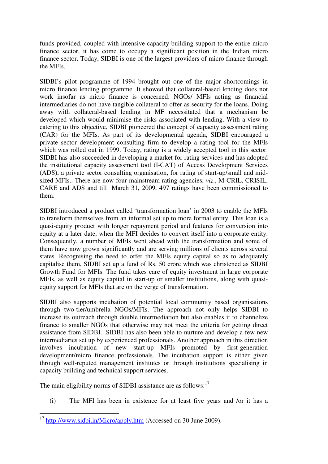funds provided, coupled with intensive capacity building support to the entire micro finance sector, it has come to occupy a significant position in the Indian micro finance sector. Today, SIDBI is one of the largest providers of micro finance through the MFIs.

SIDBI's pilot programme of 1994 brought out one of the major shortcomings in micro finance lending programme. It showed that collateral-based lending does not work insofar as micro finance is concerned. NGOs/ MFIs acting as financial intermediaries do not have tangible collateral to offer as security for the loans. Doing away with collateral-based lending in MF necessitated that a mechanism be developed which would minimise the risks associated with lending. With a view to catering to this objective, SIDBI pioneered the concept of capacity assessment rating (CAR) for the MFIs. As part of its developmental agenda, SIDBI encouraged a private sector development consulting firm to develop a rating tool for the MFIs which was rolled out in 1999. Today, rating is a widely accepted tool in this sector. SIDBI has also succeeded in developing a market for rating services and has adopted the institutional capacity assessment tool (I-CAT) of Access Development Services (ADS), a private sector consulting organisation, for rating of start-up/small and midsized MFIs.. There are now four mainstream rating agencies, *viz*., M-CRIL, CRISIL, CARE and ADS and till March 31, 2009, 497 ratings have been commissioned to them.

SIDBI introduced a product called 'transformation loan' in 2003 to enable the MFIs to transform themselves from an informal set up to more formal entity. This loan is a quasi-equity product with longer repayment period and features for conversion into equity at a later date, when the MFI decides to convert itself into a corporate entity. Consequently, a number of MFIs went ahead with the transformation and some of them have now grown significantly and are serving millions of clients across several states. Recognising the need to offer the MFIs equity capital so as to adequately capitalise them, SIDBI set up a fund of Rs. 50 crore which was christened as SIDBI Growth Fund for MFIs. The fund takes care of equity investment in large corporate MFIs, as well as equity capital in start-up or smaller institutions, along with quasiequity support for MFIs that are on the verge of transformation.

SIDBI also supports incubation of potential local community based organisations through two-tier/umbrella NGOs/MFIs. The approach not only helps SIDBI to increase its outreach through double intermediation but also enables it to channelize finance to smaller NGOs that otherwise may not meet the criteria for getting direct assistance from SIDBI. SIDBI has also been able to nurture and develop a few new intermediaries set up by experienced professionals. Another approach in this direction involves incubation of new start-up MFIs promoted by first-generation development/micro finance professionals. The incubation support is either given through well-reputed management institutes or through institutions specialising in capacity building and technical support services.

The main eligibility norms of SIDBI assistance are as follows:<sup>17</sup>

(i) The MFI has been in existence for at least five years and /or it has a

 $\overline{a}$ <sup>17</sup> http://www.sidbi.in/Micro/apply.htm (Accessed on 30 June 2009).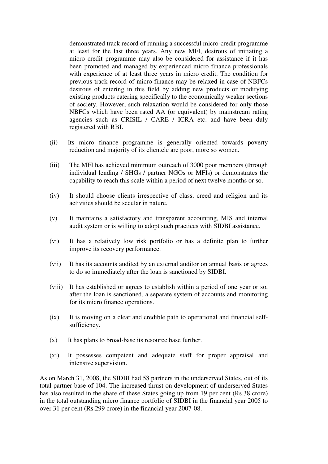demonstrated track record of running a successful micro-credit programme at least for the last three years. Any new MFI, desirous of initiating a micro credit programme may also be considered for assistance if it has been promoted and managed by experienced micro finance professionals with experience of at least three years in micro credit. The condition for previous track record of micro finance may be relaxed in case of NBFCs desirous of entering in this field by adding new products or modifying existing products catering specifically to the economically weaker sections of society. However, such relaxation would be considered for only those NBFCs which have been rated AA (or equivalent) by mainstream rating agencies such as CRISIL / CARE / ICRA etc. and have been duly registered with RBI.

- (ii) Its micro finance programme is generally oriented towards poverty reduction and majority of its clientele are poor, more so women.
- (iii) The MFI has achieved minimum outreach of 3000 poor members (through individual lending / SHGs / partner NGOs or MFIs) or demonstrates the capability to reach this scale within a period of next twelve months or so.
- (iv) It should choose clients irrespective of class, creed and religion and its activities should be secular in nature.
- (v) It maintains a satisfactory and transparent accounting, MIS and internal audit system or is willing to adopt such practices with SIDBI assistance.
- (vi) It has a relatively low risk portfolio or has a definite plan to further improve its recovery performance.
- (vii) It has its accounts audited by an external auditor on annual basis or agrees to do so immediately after the loan is sanctioned by SIDBI.
- (viii) It has established or agrees to establish within a period of one year or so, after the loan is sanctioned, a separate system of accounts and monitoring for its micro finance operations.
- (ix) It is moving on a clear and credible path to operational and financial selfsufficiency.
- (x) It has plans to broad-base its resource base further.
- (xi) It possesses competent and adequate staff for proper appraisal and intensive supervision.

As on March 31, 2008, the SIDBI had 58 partners in the underserved States, out of its total partner base of 104. The increased thrust on development of underserved States has also resulted in the share of these States going up from 19 per cent (Rs.38 crore) in the total outstanding micro finance portfolio of SIDBI in the financial year 2005 to over 31 per cent (Rs.299 crore) in the financial year 2007-08.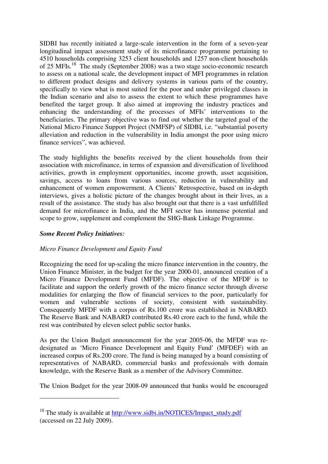SIDBI has recently initiated a large-scale intervention in the form of a seven-year longitudinal impact assessment study of its microfinance programme pertaining to 4510 households comprising 3253 client households and 1257 non-client households of 25 MFIs.<sup>18</sup> The study (September 2008) was a two stage socio-economic research to assess on a national scale, the development impact of MFI programmes in relation to different product designs and delivery systems in various parts of the country, specifically to view what is most suited for the poor and under privileged classes in the Indian scenario and also to assess the extent to which these programmes have benefited the target group. It also aimed at improving the industry practices and enhancing the understanding of the processes of MFIs' interventions to the beneficiaries. The primary objective was to find out whether the targeted goal of the National Micro Finance Support Project (NMFSP) of SIDBI, i.e. "substantial poverty alleviation and reduction in the vulnerability in India amongst the poor using micro finance services", was achieved.

The study highlights the benefits received by the client households from their association with microfinance, in terms of expansion and diversification of livelihood activities, growth in employment opportunities, income growth, asset acquisition, savings, access to loans from various sources, reduction in vulnerability and enhancement of women empowerment. A Clients' Retrospective, based on in-depth interviews, gives a holistic picture of the changes brought about in their lives, as a result of the assistance. The study has also brought out that there is a vast unfulfilled demand for microfinance in India, and the MFI sector has immense potential and scope to grow, supplement and complement the SHG-Bank Linkage Programme.

#### *Some Recent Policy Initiatives:*

 $\overline{a}$ 

#### *Micro Finance Development and Equity Fund*

Recognizing the need for up-scaling the micro finance intervention in the country, the Union Finance Minister, in the budget for the year 2000-01, announced creation of a Micro Finance Development Fund (MFDF). The objective of the MFDF is to facilitate and support the orderly growth of the micro finance sector through diverse modalities for enlarging the flow of financial services to the poor, particularly for women and vulnerable sections of society, consistent with sustainability. Consequently MFDF with a corpus of Rs.100 crore was established in NABARD. The Reserve Bank and NABARD contributed Rs.40 crore each to the fund, while the rest was contributed by eleven select public sector banks.

As per the Union Budget announcement for the year 2005-06, the MFDF was redesignated as 'Micro Finance Development and Equity Fund' (MFDEF) with an increased corpus of Rs.200 crore. The fund is being managed by a board consisting of representatives of NABARD, commercial banks and professionals with domain knowledge, with the Reserve Bank as a member of the Advisory Committee.

The Union Budget for the year 2008-09 announced that banks would be encouraged

<sup>&</sup>lt;sup>18</sup> The study is available at http://www.sidbi.in/NOTICES/Impact\_study.pdf (accessed on 22 July 2009).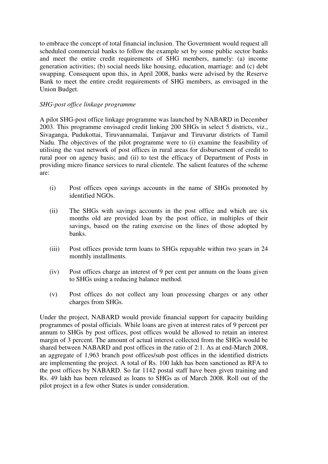to embrace the concept of total financial inclusion. The Government would request all scheduled commercial banks to follow the example set by some public sector banks and meet the entire credit requirements of SHG members, namely: (a) income generation activities; (b) social needs like housing, education, marriage: and (c) debt swapping. Consequent upon this, in April 2008, banks were advised by the Reserve Bank to meet the entire credit requirements of SHG members, as envisaged in the Union Budget.

#### *SHG-post office linkage programme*

A pilot SHG-post office linkage programme was launched by NABARD in December 2003. This programme envisaged credit linking 200 SHGs in select 5 districts, viz., Sivaganga, Pudukottai, Tiruvannamalai, Tanjavur and Tiruvarur districts of Tamil Nadu. The objectives of the pilot programme were to (i) examine the feasibility of utilising the vast network of post offices in rural areas for disbursement of credit to rural poor on agency basis; and (ii) to test the efficacy of Department of Posts in providing micro finance services to rural clientele. The salient features of the scheme are:

- (i) Post offices open savings accounts in the name of SHGs promoted by identified NGOs.
- (ii) The SHGs with savings accounts in the post office and which are six months old are provided loan by the post office, in multiples of their savings, based on the rating exercise on the lines of those adopted by banks.
- (iii) Post offices provide term loans to SHGs repayable within two years in 24 monthly installments.
- (iv) Post offices charge an interest of 9 per cent per annum on the loans given to SHGs using a reducing balance method.
- (v) Post offices do not collect any loan processing charges or any other charges from SHGs.

Under the project, NABARD would provide financial support for capacity building programmes of postal officials. While loans are given at interest rates of 9 percent per annum to SHGs by post offices, post offices would be allowed to retain an interest margin of 3 percent. The amount of actual interest collected from the SHGs would be shared between NABARD and post offices in the ratio of 2:1. As at end-March 2008, an aggregate of 1,963 branch post offices/sub post offices in the identified districts are implementing the project. A total of Rs. 100 lakh has been sanctioned as RFA to the post offices by NABARD. So far 1142 postal staff have been given training and Rs. 49 lakh has been released as loans to SHGs as of March 2008. Roll out of the pilot project in a few other States is under consideration.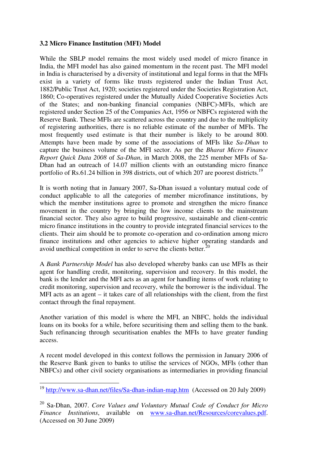#### **3.2 Micro Finance Institution (MFI) Model**

While the SBLP model remains the most widely used model of micro finance in India, the MFI model has also gained momentum in the recent past. The MFI model in India is characterised by a diversity of institutional and legal forms in that the MFIs exist in a variety of forms like trusts registered under the Indian Trust Act, 1882/Public Trust Act, 1920; societies registered under the Societies Registration Act, 1860; Co-operatives registered under the Mutually Aided Cooperative Societies Acts of the States; and non-banking financial companies (NBFC)-MFIs, which are registered under Section 25 of the Companies Act, 1956 or NBFCs registered with the Reserve Bank. These MFIs are scattered across the country and due to the multiplicity of registering authorities, there is no reliable estimate of the number of MFIs. The most frequently used estimate is that their number is likely to be around 800. Attempts have been made by some of the associations of MFIs like *Sa-Dhan* to capture the business volume of the MFI sector. As per the *Bharat Micro Finance Report Quick Data 2008* of *Sa-Dhan*, in March 2008, the 225 member MFIs of Sa-Dhan had an outreach of 14.07 million clients with an outstanding micro finance portfolio of Rs.61.24 billion in 398 districts, out of which 207 are poorest districts.<sup>19</sup>

It is worth noting that in January 2007, Sa-Dhan issued a voluntary mutual code of conduct applicable to all the categories of member microfinance institutions, by which the member institutions agree to promote and strengthen the micro finance movement in the country by bringing the low income clients to the mainstream financial sector. They also agree to build progressive, sustainable and client-centric micro finance institutions in the country to provide integrated financial services to the clients. Their aim should be to promote co-operation and co-ordination among micro finance institutions and other agencies to achieve higher operating standards and avoid unethical competition in order to serve the clients better. $^{20}$ 

A *Bank Partnership Model* has also developed whereby banks can use MFIs as their agent for handling credit, monitoring, supervision and recovery. In this model, the bank is the lender and the MFI acts as an agent for handling items of work relating to credit monitoring, supervision and recovery, while the borrower is the individual. The MFI acts as an agent – it takes care of all relationships with the client, from the first contact through the final repayment.

Another variation of this model is where the MFI, an NBFC, holds the individual loans on its books for a while, before securitising them and selling them to the bank. Such refinancing through securitisation enables the MFIs to have greater funding access.

A recent model developed in this context follows the permission in January 2006 of the Reserve Bank given to banks to utilise the services of NGOs, MFIs (other than NBFCs) and other civil society organisations as intermediaries in providing financial

 $\overline{a}$ 

<sup>&</sup>lt;sup>19</sup> http://www.sa-dhan.net/files/Sa-dhan-indian-map.htm (Accessed on 20 July 2009)

<sup>20</sup> Sa-Dhan, 2007. *Core Values and Voluntary Mutual Code of Conduct for Micro Finance Institutions*, available on www.sa-dhan.net/Resources/corevalues.pdf. (Accessed on 30 June 2009)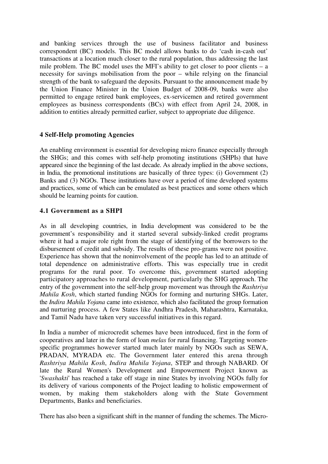and banking services through the use of business facilitator and business correspondent (BC) models. This BC model allows banks to do 'cash in-cash out' transactions at a location much closer to the rural population, thus addressing the last mile problem. The BC model uses the MFI's ability to get closer to poor clients – a necessity for savings mobilisation from the poor – while relying on the financial strength of the bank to safeguard the deposits. Pursuant to the announcement made by the Union Finance Minister in the Union Budget of 2008-09, banks were also permitted to engage retired bank employees, ex-servicemen and retired government employees as business correspondents (BCs) with effect from April 24, 2008, in addition to entities already permitted earlier, subject to appropriate due diligence.

#### **4 Self-Help promoting Agencies**

An enabling environment is essential for developing micro finance especially through the SHGs; and this comes with self-help promoting institutions (SHPIs) that have appeared since the beginning of the last decade. As already implied in the above sections, in India, the promotional institutions are basically of three types: (i) Government (2) Banks and (3) NGOs. These institutions have over a period of time developed systems and practices, some of which can be emulated as best practices and some others which should be learning points for caution.

#### **4.1 Government as a SHPI**

As in all developing countries, in India development was considered to be the government's responsibility and it started several subsidy-linked credit programs where it had a major role right from the stage of identifying of the borrowers to the disbursement of credit and subsidy. The results of these pro-grams were not positive. Experience has shown that the noninvolvement of the people has led to an attitude of total dependence on administrative efforts. This was especially true in credit programs for the rural poor. To overcome this, government started adopting participatory approaches to rural development, particularly the SHG approach. The entry of the government into the self-help group movement was through the *Rashtriya Mahila Kosh*, which started funding NGOs for forming and nurturing SHGs. Later, the *Indira Mahila Yojana* came into existence, which also facilitated the group formation and nurturing process. A few States like Andhra Pradesh, Maharashtra, Karnataka, and Tamil Nadu have taken very successful initiatives in this regard.

In India a number of microcredit schemes have been introduced, first in the form of cooperatives and later in the form of loan *melas* for rural financing. Targeting womenspecific programmes however started much later mainly by NGOs such as SEWA, PRADAN, MYRADA etc. The Government later entered this arena through *Rashtriya Mahila Kosh*, *Indira Mahila Yojana*, STEP and through NABARD. Of late the Rural Women's Development and Empowerment Project known as '*Swashakti*' has reached a take off stage in nine States by involving NGOs fully for its delivery of various components of the Project leading to holistic empowerment of women, by making them stakeholders along with the State Government Departments, Banks and beneficiaries.

There has also been a significant shift in the manner of funding the schemes. The Micro-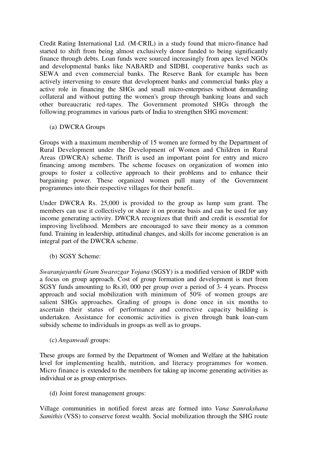Credit Rating International Ltd. (M-CRIL) in a study found that micro-finance had started to shift from being almost exclusively donor funded to being significantly finance through debts. Loan funds were sourced increasingly from apex level NGOs and developmental banks like NABARD and SIDBI, cooperative banks such as SEWA and even commercial banks. The Reserve Bank for example has been actively intervening to ensure that development banks and commercial banks play a active role in financing the SHGs and small micro-enterprises without demanding collateral and without putting the women's group through banking loans and such other bureaucratic red-tapes. The Government promoted SHGs through the following programmes in various parts of India to strengthen SHG movement:

(a) DWCRA Groups

Groups with a maximum membership of 15 women are formed by the Department of Rural Development under the Development of Women and Children in Rural Areas (DWCRA) scheme. Thrift is used an important point for entry and micro financing among members. The scheme focuses on organization of women into groups to foster a collective approach to their problems and to enhance their bargaining power. These organized women pull many of the Government programmes into their respective villages for their benefit.

Under DWCRA Rs. 25,000 is provided to the group as lump sum grant. The members can use it collectively or share it on prorate basis and can be used for any income generating activity. DWCRA recognizes that thrift and credit is essential for improving livelihood. Members are encouraged to save their money as a common fund. Training in leadership, attitudinal changes, and skills for income generation is an integral part of the DWCRA scheme.

(b) SGSY Scheme:

*Swaranjayanthi Gram Swarozgar Yojana* (SGSY) is a modified version of IRDP with a focus on group approach. Cost of group formation and development is met from SGSY funds amounting to Rs.i0, 000 per group over a period of 3- 4 years. Process approach and social mobilization with minimum of 50% of women groups are salient SHGs approaches. Grading of groups is done once in six months to ascertain their status of performance and corrective capacity building is undertaken. Assistance for economic activities is given through bank loan-cum subsidy scheme to individuals in groups as well as to groups.

(c) *Anganwadi* groups:

These groups are formed by the Department of Women and Welfare at the habitation level for implementing health, nutrition, and literacy programmes for women. Micro finance is extended to the members for taking up income generating activities as individual or as group enterprises.

(d) Joint forest management groups:

Village communities in notified forest areas are formed into *Vana Samrakshana Samithis* (VSS) to conserve forest wealth. Social mobilization through the SHG route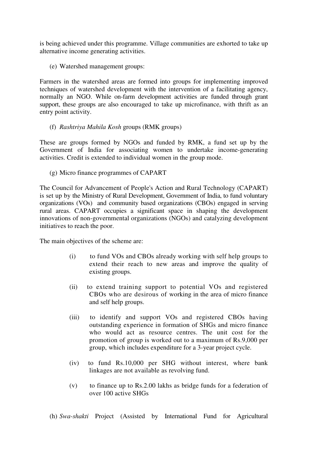is being achieved under this programme. Village communities are exhorted to take up alternative income generating activities.

(e) Watershed management groups:

Farmers in the watershed areas are formed into groups for implementing improved techniques of watershed development with the intervention of a facilitating agency, normally an NGO. While on-farm development activities are funded through grant support, these groups are also encouraged to take up microfinance, with thrift as an entry point activity.

(f) *Rashtriya Mahila Kosh* groups (RMK groups)

These are groups formed by NGOs and funded by RMK, a fund set up by the Government of India for associating women to undertake income-generating activities. Credit is extended to individual women in the group mode.

(g) Micro finance programmes of CAPART

The Council for Advancement of People's Action and Rural Technology (CAPART) is set up by the Ministry of Rural Development, Government of India, to fund voluntary organizations (VOs) and community based organizations (CBOs) engaged in serving rural areas. CAPART occupies a significant space in shaping the development innovations of non-governmental organizations (NGOs) and catalyzing development initiatives to reach the poor.

The main objectives of the scheme are:

- (i) to fund VOs and CBOs already working with self help groups to extend their reach to new areas and improve the quality of existing groups.
- (ii) to extend training support to potential VOs and registered CBOs who are desirous of working in the area of micro finance and self help groups.
- (iii) to identify and support VOs and registered CBOs having outstanding experience in formation of SHGs and micro finance who would act as resource centres. The unit cost for the promotion of group is worked out to a maximum of Rs.9,000 per group, which includes expenditure for a 3-year project cycle.
- (iv) to fund Rs.10,000 per SHG without interest, where bank linkages are not available as revolving fund.
- (v) to finance up to Rs.2.00 lakhs as bridge funds for a federation of over 100 active SHGs

(h) *Swa-shakti* Project (Assisted by International Fund for Agricultural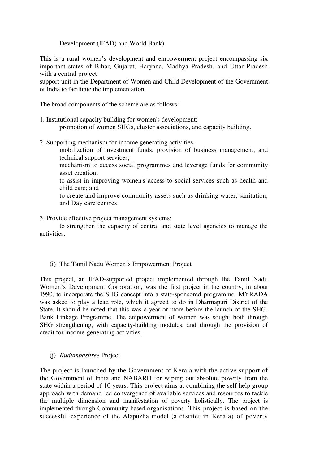#### Development (IFAD) and World Bank)

This is a rural women's development and empowerment project encompassing six important states of Bihar, Gujarat, Haryana, Madhya Pradesh, and Uttar Pradesh with a central project

support unit in the Department of Women and Child Development of the Government of India to facilitate the implementation.

The broad components of the scheme are as follows:

- 1. Institutional capacity building for women's development: promotion of women SHGs, cluster associations, and capacity building.
- 2. Supporting mechanism for income generating activities:

mobilization of investment funds, provision of business management, and technical support services;

mechanism to access social programmes and leverage funds for community asset creation;

to assist in improving women's access to social services such as health and child care; and

to create and improve community assets such as drinking water, sanitation, and Day care centres.

3. Provide effective project management systems:

to strengthen the capacity of central and state level agencies to manage the activities.

(i) The Tamil Nadu Women's Empowerment Project

This project, an IFAD-supported project implemented through the Tamil Nadu Women's Development Corporation, was the first project in the country, in about 1990, to incorporate the SHG concept into a state-sponsored programme. MYRADA was asked to play a lead role, which it agreed to do in Dharmapuri District of the State. It should be noted that this was a year or more before the launch of the SHG-Bank Linkage Programme. The empowerment of women was sought both through SHG strengthening, with capacity-building modules, and through the provision of credit for income-generating activities.

(j) *Kudumbashree* Project

The project is launched by the Government of Kerala with the active support of the Government of India and NABARD for wiping out absolute poverty from the state within a period of 10 years. This project aims at combining the self help group approach with demand led convergence of available services and resources to tackle the multiple dimension and manifestation of poverty holistically. The project is implemented through Community based organisations. This project is based on the successful experience of the Alapuzha model (a district in Kerala) of poverty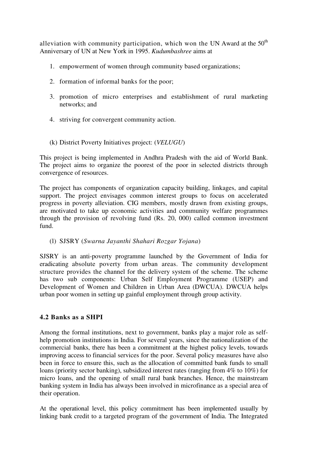alleviation with community participation, which won the UN Award at the  $50<sup>th</sup>$ Anniversary of UN at New York in 1995. *Kudumbashree* aims at

- 1. empowerment of women through community based organizations;
- 2. formation of informal banks for the poor;
- 3. promotion of micro enterprises and establishment of rural marketing networks; and
- 4. striving for convergent community action.
- (k) District Poverty Initiatives project: (*VELUGU*)

This project is being implemented in Andhra Pradesh with the aid of World Bank. The project aims to organize the poorest of the poor in selected districts through convergence of resources.

The project has components of organization capacity building, linkages, and capital support. The project envisages common interest groups to focus on accelerated progress in poverty alleviation. CIG members, mostly drawn from existing groups, are motivated to take up economic activities and community welfare programmes through the provision of revolving fund (Rs. 20, 000) called common investment fund.

(l) SJSRY (*Swarna Jayanthi Shahari Rozgar Yojana*)

SJSRY is an anti-poverty programme launched by the Government of India for eradicating absolute poverty from urban areas. The community development structure provides the channel for the delivery system of the scheme. The scheme has two sub components: Urban Self Employment Programme (USEP) and Development of Women and Children in Urban Area (DWCUA). DWCUA helps urban poor women in setting up gainful employment through group activity.

#### **4.2 Banks as a SHPI**

Among the formal institutions, next to government, banks play a major role as selfhelp promotion institutions in India. For several years, since the nationalization of the commercial banks, there has been a commitment at the highest policy levels, towards improving access to financial services for the poor. Several policy measures have also been in force to ensure this, such as the allocation of committed bank funds to small loans (priority sector banking), subsidized interest rates (ranging from 4% to 10%) for micro loans, and the opening of small rural bank branches. Hence, the mainstream banking system in India has always been involved in microfinance as a special area of their operation.

At the operational level, this policy commitment has been implemented usually by linking bank credit to a targeted program of the government of India. The Integrated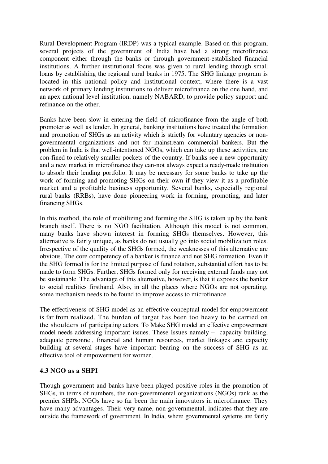Rural Development Program (IRDP) was a typical example. Based on this program, several projects of the government of India have had a strong microfinance component either through the banks or through government-established financial institutions. A further institutional focus was given to rural lending through small loans by establishing the regional rural banks in 1975. The SHG linkage program is located in this national policy and institutional context, where there is a vast network of primary lending institutions to deliver microfinance on the one hand, and an apex national level institution, namely NABARD, to provide policy support and refinance on the other.

Banks have been slow in entering the field of microfinance from the angle of both promoter as well as lender. In general, banking institutions have treated the formation and promotion of SHGs as an activity which is strictly for voluntary agencies or nongovernmental organizations and not for mainstream commercial bankers. But the problem in India is that well-intentioned NGOs, which can take up these activities, are con-fined to relatively smaller pockets of the country. If banks see a new opportunity and a new market in microfinance they can-not always expect a ready-made institution to absorb their lending portfolio. It may be necessary for some banks to take up the work of forming and promoting SHGs on their own if they view it as a profitable market and a profitable business opportunity. Several banks, especially regional rural banks (RRBs), have done pioneering work in forming, promoting, and later financing SHGs.

In this method, the role of mobilizing and forming the SHG is taken up by the bank branch itself. There is no NGO facilitation. Although this model is not common, many banks have shown interest in forming SHGs themselves. However, this alternative is fairly unique, as banks do not usually go into social mobilization roles. Irrespective of the quality of the SHGs formed, the weaknesses of this alternative are obvious. The core competency of a banker is finance and not SHG formation. Even if the SHG formed is for the limited purpose of fund rotation, substantial effort has to be made to form SHGs. Further, SHGs formed only for receiving external funds may not be sustainable. The advantage of this alternative, however, is that it exposes the banker to social realities firsthand. Also, in all the places where NGOs are not operating, some mechanism needs to be found to improve access to microfinance.

The effectiveness of SHG model as an effective conceptual model for empowerment is far from realized. The burden of target has been too heavy to be carried on the shoulders of participating actors. To Make SHG model an effective empowerment model needs addressing important issues. These Issues namely – capacity building, adequate personnel, financial and human resources, market linkages and capacity building at several stages have important bearing on the success of SHG as an effective tool of empowerment for women.

#### **4.3 NGO as a SHPI**

Though government and banks have been played positive roles in the promotion of SHGs, in terms of numbers, the non-governmental organizations (NGOs) rank as the premier SHPIs. NGOs have so far been the main innovators in microfinance. They have many advantages. Their very name, non-governmental, indicates that they are outside the framework of government. In India, where governmental systems are fairly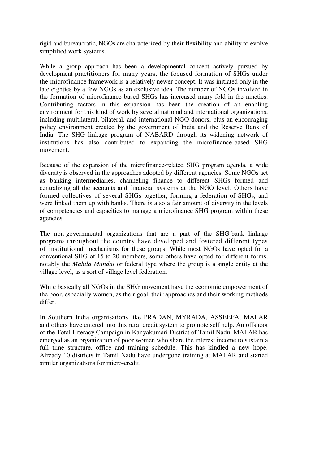rigid and bureaucratic, NGOs are characterized by their flexibility and ability to evolve simplified work systems.

While a group approach has been a developmental concept actively pursued by development practitioners for many years, the focused formation of SHGs under the microfinance framework is a relatively newer concept. It was initiated only in the late eighties by a few NGOs as an exclusive idea. The number of NGOs involved in the formation of microfinance based SHGs has increased many fold in the nineties. Contributing factors in this expansion has been the creation of an enabling environment for this kind of work by several national and international organizations, including multilateral, bilateral, and international NGO donors, plus an encouraging policy environment created by the government of India and the Reserve Bank of India. The SHG linkage program of NABARD through its widening network of institutions has also contributed to expanding the microfinance-based SHG movement.

Because of the expansion of the microfinance-related SHG program agenda, a wide diversity is observed in the approaches adopted by different agencies. Some NGOs act as banking intermediaries, channeling finance to different SHGs formed and centralizing all the accounts and financial systems at the NGO level. Others have formed collectives of several SHGs together, forming a federation of SHGs, and were linked them up with banks. There is also a fair amount of diversity in the levels of competencies and capacities to manage a microfinance SHG program within these agencies.

The non-governmental organizations that are a part of the SHG-bank linkage programs throughout the country have developed and fostered different types of institutional mechanisms for these groups. While most NGOs have opted for a conventional SHG of 15 to 20 members, some others have opted for different forms, notably the *Mahila Mandal* or federal type where the group is a single entity at the village level, as a sort of village level federation.

While basically all NGOs in the SHG movement have the economic empowerment of the poor, especially women, as their goal, their approaches and their working methods differ.

In Southern India organisations like PRADAN, MYRADA, ASSEEFA, MALAR and others have entered into this rural credit system to promote self help. An offshoot of the Total Literacy Campaign in Kanyakumari District of Tamil Nadu, MALAR has emerged as an organization of poor women who share the interest income to sustain a full time structure, office and training schedule. This has kindled a new hope. Already 10 districts in Tamil Nadu have undergone training at MALAR and started similar organizations for micro-credit.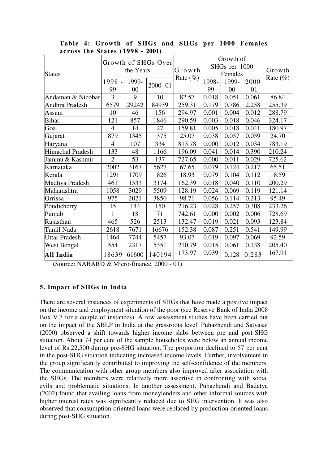| <b>States</b>        | Growth of SHGs Over<br>the Years |             |         | Growth      | Growth of<br>SHGs per 1000<br>Females |             |               | Growth      |
|----------------------|----------------------------------|-------------|---------|-------------|---------------------------------------|-------------|---------------|-------------|
|                      | 1998 -<br>99                     | 1999-<br>00 | 2000-01 | Rate $(\%)$ | 1998-<br>99                           | 1999-<br>00 | 2000<br>$-01$ | Rate $(\%)$ |
| Andaman & Nicobar    | 3                                | 9           | 10      | 82.57       | 0.018                                 | 0.051       | 0.061         | 86.84       |
| Andhra Pradesh       | 6579                             | 29242       | 84939   | 259.31      | 0.179                                 | 0.786       | 2.258         | 255.39      |
| Assam                | 10                               | 46          | 156     | 294.97      | 0.001                                 | 0.004       | 0.012         | 288.79      |
| <b>Bihar</b>         | 121                              | 857         | 1846    | 290.59      | 0.003                                 | 0.018       | 0.046         | 324.17      |
| Goa                  | $\overline{4}$                   | 14          | 27      | 159.81      | 0.005                                 | 0.018       | 0.041         | 180.97      |
| Gujarat              | 879                              | 1345        | 1375    | 25.07       | 0.038                                 | 0.057       | 0.059         | 24.70       |
| Haryana              | $\overline{4}$                   | 107         | 334     | 813.78      | 0.000                                 | 0.012       | 0.034         | 783.19      |
| Himachal Pradesh     | 133                              | 48          | 1166    | 196.09      | 0.041                                 | 0.014       | 0.390         | 210.24      |
| Jammu & Kashmir      | $\overline{2}$                   | 53          | 137     | 727.65      | 0.000                                 | 0.011       | 0.029         | 725.62      |
| Karnataka            | 2002                             | 3167        | 5627    | 67.65       | 0.079                                 | 0.124       | 0.217         | 65.51       |
| Kerala               | 1291                             | 1709        | 1826    | 18.93       | 0.079                                 | 0.104       | 0.112         | 18.59       |
| Madhya Pradesh       | 461                              | 1533        | 3174    | 162.39      | 0.018                                 | 0.040       | 0.110         | 200.29      |
| Maharashtra          | 1058                             | 3029        | 5509    | 128.19      | 0.024                                 | 0.069       | 0.119         | 121.14      |
| Orrissa              | 975                              | 2021        | 3850    | 98.71       | 0.056                                 | 0.114       | 0.213         | 95.49       |
| Pondicherry          | 15                               | 144         | 150     | 216.23      | 0.028                                 | 0.257       | 0.308         | 233.26      |
| Punjab               | 1                                | 18          | 71      | 742.61      | 0.000                                 | 0.002       | 0.006         | 728.69      |
| Rajasthan            | 465                              | 526         | 2513    | 132.47      | 0.019                                 | 0.021       | 0.093         | 123.84      |
| Tamil Nadu           | 2618                             | 7671        | 16676   | 152.38      | 0.087                                 | 0.251       | 0.541         | 149.99      |
| <b>Uttar Pradesh</b> | 1464                             | 7744        | 5457    | 93.07       | 0.019                                 | 0.097       | 0.069         | 92.59       |
| West Bengal          | 554                              | 2317        | 5351    | 210.79      | 0.015                                 | 0.061       | 0.138         | 205.40      |
| All India            | 18639                            | 61600       | 140194  | 173.97      | 0.039                                 | 0.128       | 0.283         | 167.91      |

**Table 4: Growth of SHGs and SHGs per 1000 Females across the States (1998 - 2001)** 

(Source: NABARD & Micro-finance, 2000 - 01)

#### **5. Impact of SHGs in India**

There are several instances of experiments of SHGs that have made a positive impact on the income and employment situation of the poor (see Reserve Bank of India 2008 Box V.7 for a couple of instances). A few assessment studies have been carried out on the impact of the SBLP in India at the grassroots level. Puhazhendi and Satyasai (2000) observed a shift towards higher income slabs between pre and post-SHG situation. About 74 per cent of the sample households were below an annual income level of Rs.22,500 during pre-SHG situation. The proportion declined to 57 per cent in the post-SHG situation indicating increased income levels. Further, involvement in the group significantly contributed to improving the self-confidence of the members. The communication with other group members also improved after association with the SHGs. The members were relatively more assertive in confronting with social evils and problematic situations. In another assessment, Puhazhendi and Badatya (2002) found that availing loans from moneylenders and other informal sources with higher interest rates was significantly reduced due to SHG intervention. It was also observed that consumption-oriented loans were replaced by production-oriented loans during post-SHG situation.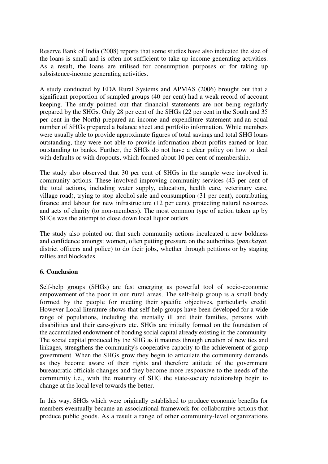Reserve Bank of India (2008) reports that some studies have also indicated the size of the loans is small and is often not sufficient to take up income generating activities. As a result, the loans are utilised for consumption purposes or for taking up subsistence-income generating activities.

A study conducted by EDA Rural Systems and APMAS (2006) brought out that a significant proportion of sampled groups (40 per cent) had a weak record of account keeping. The study pointed out that financial statements are not being regularly prepared by the SHGs. Only 28 per cent of the SHGs (22 per cent in the South and 35 per cent in the North) prepared an income and expenditure statement and an equal number of SHGs prepared a balance sheet and portfolio information. While members were usually able to provide approximate figures of total savings and total SHG loans outstanding, they were not able to provide information about profits earned or loan outstanding to banks. Further, the SHGs do not have a clear policy on how to deal with defaults or with dropouts, which formed about 10 per cent of membership.

The study also observed that 30 per cent of SHGs in the sample were involved in community actions. These involved improving community services (43 per cent of the total actions, including water supply, education, health care, veterinary care, village road), trying to stop alcohol sale and consumption (31 per cent), contributing finance and labour for new infrastructure (12 per cent), protecting natural resources and acts of charity (to non-members). The most common type of action taken up by SHGs was the attempt to close down local liquor outlets.

The study also pointed out that such community actions inculcated a new boldness and confidence amongst women, often putting pressure on the authorities (*panchayat*, district officers and police) to do their jobs, whether through petitions or by staging rallies and blockades.

#### **6. Conclusion**

Self-help groups (SHGs) are fast emerging as powerful tool of socio-economic empowerment of the poor in our rural areas. The self-help group is a small body formed by the people for meeting their specific objectives, particularly credit. However Local literature shows that self-help groups have been developed for a wide range of populations, including the mentally ill and their families, persons with disabilities and their care-givers etc. SHGs are initially formed on the foundation of the accumulated endowment of bonding social capital already existing in the community. The social capital produced by the SHG as it matures through creation of new ties and linkages, strengthens the community's cooperative capacity to the achievement of group government. When the SHGs grow they begin to articulate the community demands as they become aware of their rights and therefore attitude of the government bureaucratic officials changes and they become more responsive to the needs of the community i.e., with the maturity of SHG the state-society relationship begin to change at the local level towards the better.

In this way, SHGs which were originally established to produce economic benefits for members eventually became an associational framework for collaborative actions that produce public goods. As a result a range of other community-level organizations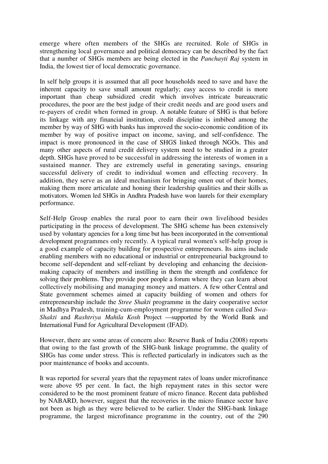emerge where often members of the SHGs are recruited. Role of SHGs in strengthening local governance and political democracy can be described by the fact that a number of SHGs members are being elected in the *Panchayti Raj* system in India, the lowest tier of local democratic governance.

In self help groups it is assumed that all poor households need to save and have the inherent capacity to save small amount regularly; easy access to credit is more important than cheap subsidized credit which involves intricate bureaucratic procedures, the poor are the best judge of their credit needs and are good users and re-payers of credit when formed in group. A notable feature of SHG is that before its linkage with any financial institution, credit discipline is imbibed among the member by way of SHG with banks has improved the socio-economic condition of its member by way of positive impact on income, saving, and self-confidence. The impact is more pronounced in the case of SHGS linked through NGOs. This and many other aspects of rural credit delivery system need to be studied in a greater depth. SHGs have proved to be successful in addressing the interests of women in a sustained manner. They are extremely useful in generating savings, ensuring successful delivery of credit to individual women and effecting recovery. In addition, they serve as an ideal mechanism for bringing omen out of their homes, making them more articulate and honing their leadership qualities and their skills as motivators. Women led SHGs in Andhra Pradesh have won laurels for their exemplary performance.

Self-Help Group enables the rural poor to earn their own livelihood besides participating in the process of development. The SHG scheme has been extensively used by voluntary agencies for a long time but has been incorporated in the conventional development programmes only recently. A typical rural women's self-help group is a good example of capacity building for prospective entrepreneurs. Its aims include enabling members with no educational or industrial or entrepreneurial background to become self-dependent and self-reliant by developing and enhancing the decisionmaking capacity of members and instilling in them the strength and confidence for solving their problems. They provide poor people a forum where they can learn about collectively mobilising and managing money and matters. A few other Central and State government schemes aimed at capacity building of women and others for entrepreneurship include the *Stree Shakti* programme in the dairy cooperative sector in Madhya Pradesh, training-cum-employment programme for women called *Swa-Shakti* and *Rashtriya Mahila Kosh* Project —supported by the World Bank and International Fund for Agricultural Development (IFAD).

However, there are some areas of concern also: Reserve Bank of India (2008) reports that owing to the fast growth of the SHG-bank linkage programme, the quality of SHGs has come under stress. This is reflected particularly in indicators such as the poor maintenance of books and accounts.

It was reported for several years that the repayment rates of loans under microfinance were above 95 per cent. In fact, the high repayment rates in this sector were considered to be the most prominent feature of micro finance. Recent data published by NABARD, however, suggest that the recoveries in the micro finance sector have not been as high as they were believed to be earlier. Under the SHG-bank linkage programme, the largest microfinance programme in the country, out of the 290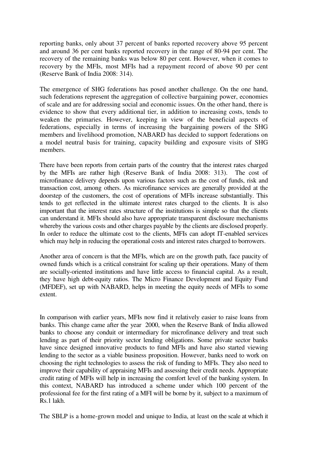reporting banks, only about 37 percent of banks reported recovery above 95 percent and around 36 per cent banks reported recovery in the range of 80-94 per cent. The recovery of the remaining banks was below 80 per cent. However, when it comes to recovery by the MFIs, most MFIs had a repayment record of above 90 per cent (Reserve Bank of India 2008: 314).

The emergence of SHG federations has posed another challenge. On the one hand, such federations represent the aggregation of collective bargaining power, economies of scale and are for addressing social and economic issues. On the other hand, there is evidence to show that every additional tier, in addition to increasing costs, tends to weaken the primaries. However, keeping in view of the beneficial aspects of federations, especially in terms of increasing the bargaining powers of the SHG members and livelihood promotion, NABARD has decided to support federations on a model neutral basis for training, capacity building and exposure visits of SHG members.

There have been reports from certain parts of the country that the interest rates charged by the MFIs are rather high (Reserve Bank of India 2008: 313). The cost of microfinance delivery depends upon various factors such as the cost of funds, risk and transaction cost, among others. As microfinance services are generally provided at the doorstep of the customers, the cost of operations of MFIs increase substantially. This tends to get reflected in the ultimate interest rates charged to the clients. It is also important that the interest rates structure of the institutions is simple so that the clients can understand it. MFIs should also have appropriate transparent disclosure mechanisms whereby the various costs and other charges payable by the clients are disclosed properly. In order to reduce the ultimate cost to the clients, MFIs can adopt IT-enabled services which may help in reducing the operational costs and interest rates charged to borrowers.

Another area of concern is that the MFIs, which are on the growth path, face paucity of owned funds which is a critical constraint for scaling up their operations. Many of them are socially-oriented institutions and have little access to financial capital. As a result, they have high debt-equity ratios. The Micro Finance Development and Equity Fund (MFDEF), set up with NABARD, helps in meeting the equity needs of MFIs to some extent.

In comparison with earlier years, MFIs now find it relatively easier to raise loans from banks. This change came after the year 2000, when the Reserve Bank of India allowed banks to choose any conduit or intermediary for microfinance delivery and treat such lending as part of their priority sector lending obligations. Some private sector banks have since designed innovative products to fund MFIs and have also started viewing lending to the sector as a viable business proposition. However, banks need to work on choosing the right technologies to assess the risk of funding to MFIs. They also need to improve their capability of appraising MFIs and assessing their credit needs. Appropriate credit rating of MFIs will help in increasing the comfort level of the banking system. In this context, NABARD has introduced a scheme under which 100 percent of the professional fee for the first rating of a MFI will be borne by it, subject to a maximum of Rs.1 lakh.

The SBLP is a home-grown model and unique to India, at least on the scale at which it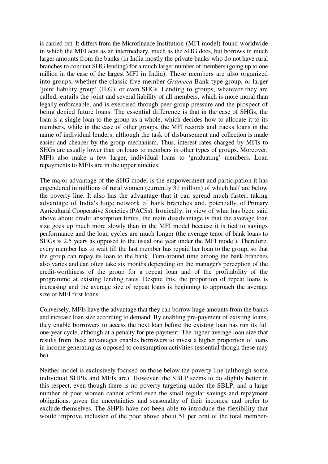is carried out. It differs from the Microfinance Institution (MFI model) found worldwide in which the MFI acts as an intermediary, much as the SHG does, but borrows in much larger amounts from the banks (in India mostly the private banks who do not have rural branches to conduct SHG lending) for a much larger number of members (going up to one million in the case of the largest MFI in India). These members are also organized into groups, whether the classic five-member *Grameen* Bank-type group, or larger 'joint liability group' (JLG), or even SHGs. Lending to groups, whatever they are called, entails the joint and several liability of all members, which is more moral than legally enforceable, and is exercised through peer group pressure and the prospect of being denied future loans. The essential difference is that in the case of SHGs, the loan is a single loan to the group as a whole, which decides how to allocate it to its members, while in the case of other groups, the MFI records and tracks loans in the name of individual lenders, although the task of disbursement and collection is made easier and cheaper by the group mechanism. Thus, interest rates charged by MFIs to SHGs are usually lower than on loans to members in other types of groups. Moreover, MFIs also make a few larger, individual loans to 'graduating' members. Loan repayments to MFIs are in the upper nineties.

The major advantage of the SHG model is the empowerment and participation it has engendered in millions of rural women (currently 31 million) of which half are below the poverty line. It also has the advantage that it can spread much faster, taking advantage of India's huge network of bank branches and, potentially, of Primary Agricultural Cooperative Societies (PACSs). Ironically, in view of what has been said above about credit absorption limits, the main disadvantage is that the average loan size goes up much more slowly than in the MFI model because it is tied to savings performance and the loan cycles are much longer (the average tenor of bank loans to SHGs is 2.5 years as opposed to the usual one year under the MFI model). Therefore, every member has to wait till the last member has repaid her loan to the group, so that the group can repay its loan to the bank. Turn-around time among the bank branches also varies and can often take six months depending on the manager's perception of the credit-worthiness of the group for a repeat loan and of the profitability of the programme at existing lending rates. Despite this, the proportion of repeat loans is increasing and the average size of repeat loans is beginning to approach the average size of MFI first loans.

Conversely, MFIs have the advantage that they can borrow huge amounts from the banks and increase loan size according to demand. By enabling pre-payment of existing loans, they enable borrowers to access the next loan before the existing loan has run its full one-year cycle, although at a penalty for pre-payment. The higher average loan size that results from these advantages enables borrowers to invest a higher proportion of loans in income generating as opposed to consumption activities (essential though these may be).

Neither model is exclusively focused on those below the poverty line (although some individual SHPIs and MFIs are). However, the SBLP seems to do slightly better in this respect, even though there is no poverty targeting under the SBLP, and a large number of poor women cannot afford even the small regular savings and repayment obligations, given the uncertainties and seasonality of their incomes, and prefer to exclude themselves. The SHPIs have not been able to introduce the flexibility that would improve inclusion of the poor above about 51 per cent of the total member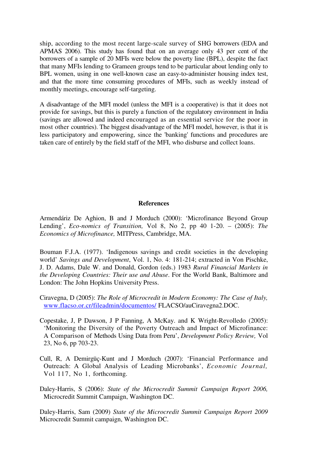ship, according to the most recent large-scale survey of SHG borrowers (EDA and APMAS 2006). This study has found that on an average only 43 per cent of the borrowers of a sample of 20 MFIs were below the poverty line (BPL), despite the fact that many MFIs lending to Grameen groups tend to be particular about lending only to BPL women, using in one well-known case an easy-to-administer housing index test, and that the more time consuming procedures of MFIs, such as weekly instead of monthly meetings, encourage self-targeting.

A disadvantage of the MFI model (unless the MFI is a cooperative) is that it does not provide for savings, but this is purely a function of the regulatory environment in India (savings are allowed and indeed encouraged as an essential service for the poor in most other countries). The biggest disadvantage of the MFI model, however, is that it is less participatory and empowering, since the 'banking' functions and procedures are taken care of entirely by the field staff of the MFI, who disburse and collect loans.

#### **References**

Armendáriz De Aghion, B and J Morduch (2000): 'Microfinance Beyond Group Lending', *Eco-nomics of Transition,* Vol 8, No 2, pp 40 1-20. – (2005): *The Economics of Microfinance,* MITPress, Cambridge, MA.

Bouman F.J.A. (1977). 'Indigenous savings and credit societies in the developing world' *Savings and Development*, Vol. 1, No. 4: 181-214; extracted in Von Pischke, J. D. Adams, Dale W. and Donald, Gordon (eds.) 1983 *Rural Financial Markets in the Developing Countries: Their use and Abuse*. For the World Bank, Baltimore and London: The John Hopkins University Press.

- Ciravegna, D (2005): *The Role of Microcredit in Modern Economy: The Case of Italy,*  www.flacso.or.cr/fileadmin/documentos/ FLACSO/auCiravegna2.DOC.
- Copestake, J, P Dawson, J P Fanning, A McKay. and K Wright-Revolledo (2005): 'Monitoring the Diversity of the Poverty Outreach and Impact of Microfinance: A Comparison of Methods Using Data from Peru', *Development Policy Review,* Vol 23, No 6, pp 703-23.
- Cull, R, A Demirgüç-Kunt and J Morduch (2007): 'Financial Performance and Outreach: A Global Analysis of Leading Microbanks', *Economic Journal,*  Vol 117, No 1, forthcoming.
- Daley-Harris, S (2006): *State of the Microcredit Summit Campaign Report 2006,*  Microcredit Summit Campaign, Washington DC.

Daley-Harris, Sam (2009) *State of the Microcredit Summit Campaign Report 2009* Microcredit Summit campaign, Washington DC.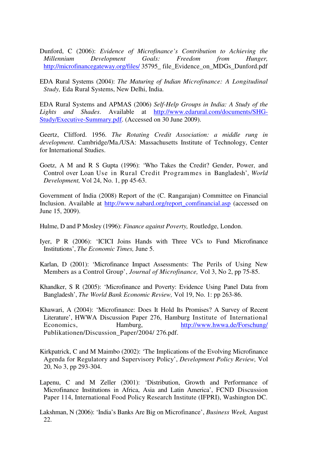- Dunford, C (2006): *Evidence of Microfinance's Contribution to Achieving the Millennium Development Goals: Freedom from Hunger,*  http://microfinancegateway.org/files/ 35795\_ file\_Evidence\_on\_MDGs\_Dunford.pdf
- EDA Rural Systems (2004): *The Maturing of Indian Microfinance: A Longitudinal Study,* Eda Rural Systems, New Delhi, India.

EDA Rural Systems and APMAS (2006) *Self-Help Groups in India: A Study of the Lights and Shades*. Available at http://www.edarural.com/documents/SHG-Study/Executive-Summary.pdf. (Accessed on 30 June 2009).

Geertz, Clifford. 1956. *The Rotating Credit Association: a middle rung in development*. Cambridge/Ma./USA: Massachusetts Institute of Technology, Center for International Studies.

Goetz, A M and R S Gupta (1996): 'Who Takes the Credit? Gender, Power, and Control over Loan Use in Rural Credit Programmes in Bangladesh', *World Development,* Vol 24, No. 1, pp 45-63.

Government of India (2008) Report of the (C. Rangarajan) Committee on Financial Inclusion. Available at http://www.nabard.org/report\_comfinancial.asp (accessed on June 15, 2009).

Hulme, D and P Mosley (1996): *Finance against Poverty,* Routledge, London.

- Iyer, P R (2006): 'ICICI Joins Hands with Three VCs to Fund Microfinance Institutions', *The Economic Times,* June 5.
- Karlan, D (2001): 'Microfinance Impact Assessments: The Perils of Using New Members as a Control Group', *Journal of Microfinance,* Vol 3, No 2, pp 75-85.
- Khandker, S R (2005): 'Microfinance and Poverty: Evidence Using Panel Data from Bangladesh', *The World Bank Economic Review,* Vol 19, No. 1: pp 263-86.
- Khawari, A (2004): 'Microfinance: Does It Hold Its Promises? A Survey of Recent Literature', HWWA Discussion Paper 276, Hamburg Institute of International Economics, Hamburg, http://www.hwwa.de/Forschung/ Publikationen/Discussion\_Paper/2004/ 276.pdf.
- Kirkpatrick, C and M Maimbo (2002): 'The Implications of the Evolving Microfinance Agenda for Regulatory and Supervisory Policy', *Development Policy Review,* Vol 20, No 3, pp 293-304.
- Lapenu, C and M Zeller (2001): 'Distribution, Growth and Performance of Microfinance Institutions in Africa, Asia and Latin America', FCND Discussion Paper 114, International Food Policy Research Institute (IFPRI), Washington DC.
- Lakshman, N (2006): 'India's Banks Are Big on Microfinance', *Business Week,* August 22.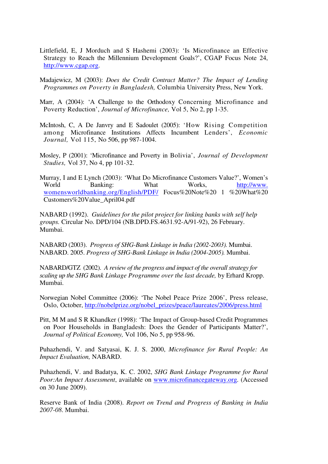Littlefield, E, J Morduch and S Hashemi (2003): 'Is Microfinance an Effective Strategy to Reach the Millennium Development Goals?', CGAP Focus Note 24, http://www.cgap.org.

Madajewicz, M (2003): *Does the Credit Contract Matter? The Impact of Lending Programmes on Poverty in Bangladesh,* Columbia University Press, New York.

- Marr, A (2004): 'A Challenge to the Orthodoxy Concerning Microfinance and Poverty Reduction', *Journal of Microfinance,* Vol 5, No 2, pp 1-35.
- McIntosh, C, A De Janvry and E Sadoulet (2005): 'How Rising Competition among Microfinance Institutions Affects Incumbent Lenders', *Economic Journal,* Vol 115, No 506, pp 987-1004.
- Mosley, P (2001): 'Microfinance and Poverty in Bolivia', *Journal of Development Studies,* Vol 37, No 4, pp 101-32.
- Murray, I and E Lynch (2003): 'What Do Microfinance Customers Value?', Women's World Banking: What Works, http://www. womensworldbanking.org/English/PDF/ Focus%20Note%20 1 %20What%20 Customers%20Value\_April04.pdf

NABARD (1992). *Guidelines for the pilot project for linking banks with self help groups.* Circular No. DPD/104 (NB.DPD.FS.4631.92-A/91-92), 26 February. Mumbai.

NABARD (2003). *Progress of SHG-Bank Linkage in India (2002-2003).* Mumbai. NABARD. 2005. *Progress of SHG-Bank Linkage in India (2004-2005).* Mumbai.

NABARD/GTZ (2002). *A review of the progress and impact of the overall strategy for scaling up the SHG Bank Linkage Programme over the last decade,* by Erhard Kropp. Mumbai.

Norwegian Nobel Committee (2006): 'The Nobel Peace Prize 2006', Press release, Oslo, October, http://nobelprize.org/nobel\_prizes/peace/laureates/2006/press.html

Pitt, M M and S R Khandker (1998): 'The Impact of Group-based Credit Programmes on Poor Households in Bangladesh: Does the Gender of Participants Matter?', *Journal of Political Economy,* Vol 106, No 5, pp 958-96.

Puhazhendi, V. and Satyasai, K. J. S. 2000, *Microfinance for Rural People: An Impact Evaluation,* NABARD.

Puhazhendi, V. and Badatya, K. C. 2002, *SHG Bank Linkage Programme for Rural Poor:An Impact Assessment*, available on www.microfinancegateway.org. (Accessed on 30 June 2009).

Reserve Bank of India (2008). *Report on Trend and Progress of Banking in India 2007-08*. Mumbai.